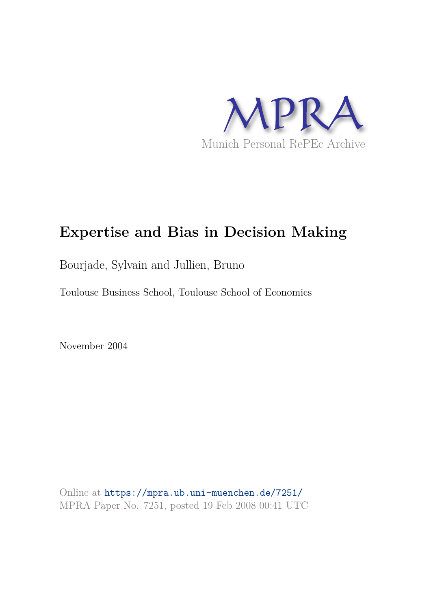

# **Expertise and Bias in Decision Making**

Bourjade, Sylvain and Jullien, Bruno

Toulouse Business School, Toulouse School of Economics

November 2004

Online at https://mpra.ub.uni-muenchen.de/7251/ MPRA Paper No. 7251, posted 19 Feb 2008 00:41 UTC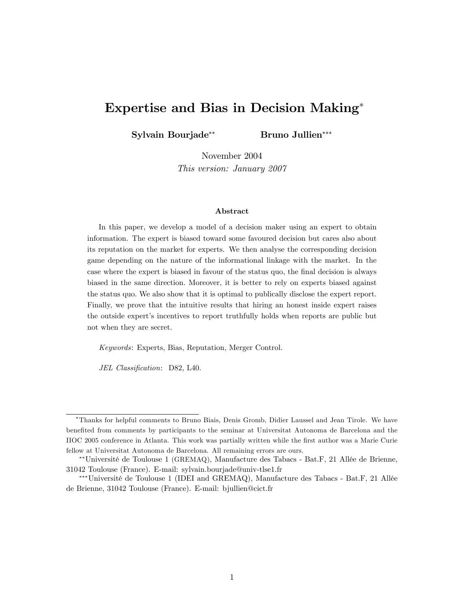# Expertise and Bias in Decision Making

Sylvain Bourjade<sup>\*\*</sup> Bruno Jullien<sup>\*\*\*</sup>

November 2004 This version: January 2007

#### Abstract

In this paper, we develop a model of a decision maker using an expert to obtain information. The expert is biased toward some favoured decision but cares also about its reputation on the market for experts. We then analyse the corresponding decision game depending on the nature of the informational linkage with the market. In the case where the expert is biased in favour of the status quo, the Önal decision is always biased in the same direction. Moreover, it is better to rely on experts biased against the status quo. We also show that it is optimal to publically disclose the expert report. Finally, we prove that the intuitive results that hiring an honest inside expert raises the outside expertís incentives to report truthfully holds when reports are public but not when they are secret.

Keywords: Experts, Bias, Reputation, Merger Control.

JEL Classification: D82, L40.

Thanks for helpful comments to Bruno Biais, Denis Gromb, Didier Laussel and Jean Tirole. We have benefited from comments by participants to the seminar at Universitat Autonoma de Barcelona and the IIOC 2005 conference in Atlanta. This work was partially written while the Örst author was a Marie Curie fellow at Universitat Autonoma de Barcelona. All remaining errors are ours.

<sup>\*\*</sup>Université de Toulouse 1 (GREMAQ), Manufacture des Tabacs - Bat.F, 21 Allée de Brienne, 31042 Toulouse (France). E-mail: sylvain.bourjade@univ-tlse1.fr

<sup>\*\*\*</sup>Université de Toulouse 1 (IDEI and GREMAQ), Manufacture des Tabacs - Bat.F, 21 Allée de Brienne, 31042 Toulouse (France). E-mail: bjullien@cict.fr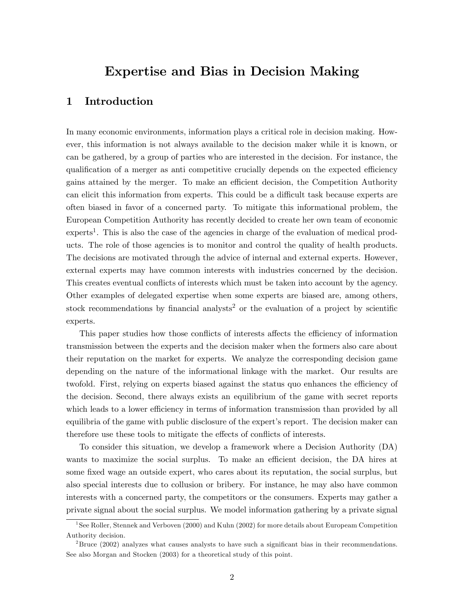# Expertise and Bias in Decision Making

# 1 Introduction

In many economic environments, information plays a critical role in decision making. However, this information is not always available to the decision maker while it is known, or can be gathered, by a group of parties who are interested in the decision. For instance, the qualification of a merger as anti-competitive crucially depends on the expected efficiency gains attained by the merger. To make an efficient decision, the Competition Authority can elicit this information from experts. This could be a difficult task because experts are often biased in favor of a concerned party. To mitigate this informational problem, the European Competition Authority has recently decided to create her own team of economic experts<sup>1</sup>. This is also the case of the agencies in charge of the evaluation of medical products. The role of those agencies is to monitor and control the quality of health products. The decisions are motivated through the advice of internal and external experts. However, external experts may have common interests with industries concerned by the decision. This creates eventual conflicts of interests which must be taken into account by the agency. Other examples of delegated expertise when some experts are biased are, among others, stock recommendations by financial analysts<sup>2</sup> or the evaluation of a project by scientific experts.

This paper studies how those conflicts of interests affects the efficiency of information transmission between the experts and the decision maker when the formers also care about their reputation on the market for experts. We analyze the corresponding decision game depending on the nature of the informational linkage with the market. Our results are twofold. First, relying on experts biased against the status quo enhances the efficiency of the decision. Second, there always exists an equilibrium of the game with secret reports which leads to a lower efficiency in terms of information transmission than provided by all equilibria of the game with public disclosure of the expert's report. The decision maker can therefore use these tools to mitigate the effects of conflicts of interests.

To consider this situation, we develop a framework where a Decision Authority (DA) wants to maximize the social surplus. To make an efficient decision, the DA hires at some fixed wage an outside expert, who cares about its reputation, the social surplus, but also special interests due to collusion or bribery. For instance, he may also have common interests with a concerned party, the competitors or the consumers. Experts may gather a private signal about the social surplus. We model information gathering by a private signal

<sup>&</sup>lt;sup>1</sup> See Roller, Stennek and Verboven (2000) and Kuhn (2002) for more details about Europeam Competition Authority decision.

 $^{2}$ Bruce (2002) analyzes what causes analysts to have such a significant bias in their recommendations. See also Morgan and Stocken (2003) for a theoretical study of this point.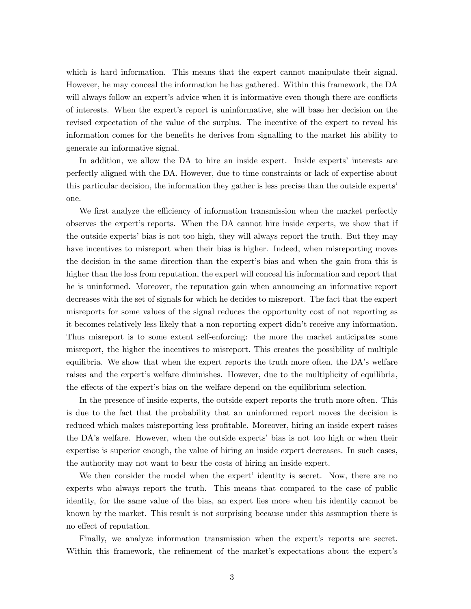which is hard information. This means that the expert cannot manipulate their signal. However, he may conceal the information he has gathered. Within this framework, the DA will always follow an expert's advice when it is informative even though there are conflicts of interests. When the expertís report is uninformative, she will base her decision on the revised expectation of the value of the surplus. The incentive of the expert to reveal his information comes for the benefits he derives from signalling to the market his ability to generate an informative signal.

In addition, we allow the DA to hire an inside expert. Inside experts' interests are perfectly aligned with the DA. However, due to time constraints or lack of expertise about this particular decision, the information they gather is less precise than the outside expertsí one.

We first analyze the efficiency of information transmission when the market perfectly observes the expertís reports. When the DA cannot hire inside experts, we show that if the outside expertsí bias is not too high, they will always report the truth. But they may have incentives to misreport when their bias is higher. Indeed, when misreporting moves the decision in the same direction than the expert's bias and when the gain from this is higher than the loss from reputation, the expert will conceal his information and report that he is uninformed. Moreover, the reputation gain when announcing an informative report decreases with the set of signals for which he decides to misreport. The fact that the expert misreports for some values of the signal reduces the opportunity cost of not reporting as it becomes relatively less likely that a non-reporting expert didnít receive any information. Thus misreport is to some extent self-enforcing: the more the market anticipates some misreport, the higher the incentives to misreport. This creates the possibility of multiple equilibria. We show that when the expert reports the truth more often, the  $DA$ 's welfare raises and the expert's welfare diminishes. However, due to the multiplicity of equilibria, the effects of the expert's bias on the welfare depend on the equilibrium selection.

In the presence of inside experts, the outside expert reports the truth more often. This is due to the fact that the probability that an uninformed report moves the decision is reduced which makes misreporting less profitable. Moreover, hiring an inside expert raises the DA's welfare. However, when the outside experts' bias is not too high or when their expertise is superior enough, the value of hiring an inside expert decreases. In such cases, the authority may not want to bear the costs of hiring an inside expert.

We then consider the model when the expert identity is secret. Now, there are no experts who always report the truth. This means that compared to the case of public identity, for the same value of the bias, an expert lies more when his identity cannot be known by the market. This result is not surprising because under this assumption there is no effect of reputation.

Finally, we analyze information transmission when the expert's reports are secret. Within this framework, the refinement of the market's expectations about the expert's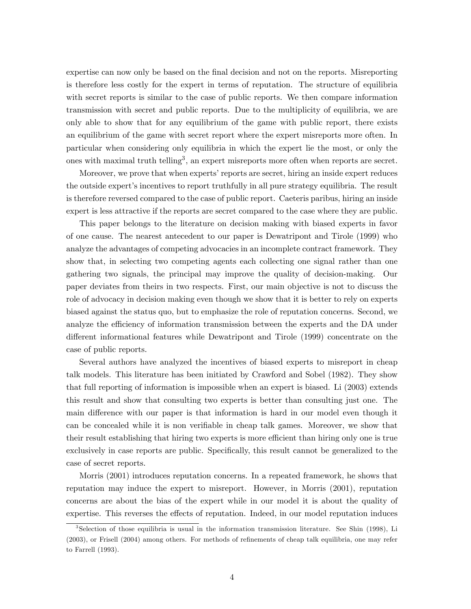expertise can now only be based on the final decision and not on the reports. Misreporting is therefore less costly for the expert in terms of reputation. The structure of equilibria with secret reports is similar to the case of public reports. We then compare information transmission with secret and public reports. Due to the multiplicity of equilibria, we are only able to show that for any equilibrium of the game with public report, there exists an equilibrium of the game with secret report where the expert misreports more often. In particular when considering only equilibria in which the expert lie the most, or only the ones with maximal truth telling<sup>3</sup>, an expert misreports more often when reports are secret.

Moreover, we prove that when experts' reports are secret, hiring an inside expert reduces the outside expertís incentives to report truthfully in all pure strategy equilibria. The result is therefore reversed compared to the case of public report. Caeteris paribus, hiring an inside expert is less attractive if the reports are secret compared to the case where they are public.

This paper belongs to the literature on decision making with biased experts in favor of one cause. The nearest antecedent to our paper is Dewatripont and Tirole (1999) who analyze the advantages of competing advocacies in an incomplete contract framework. They show that, in selecting two competing agents each collecting one signal rather than one gathering two signals, the principal may improve the quality of decision-making. Our paper deviates from theirs in two respects. First, our main objective is not to discuss the role of advocacy in decision making even though we show that it is better to rely on experts biased against the status quo, but to emphasize the role of reputation concerns. Second, we analyze the efficiency of information transmission between the experts and the DA under different informational features while Dewatripont and Tirole (1999) concentrate on the case of public reports.

Several authors have analyzed the incentives of biased experts to misreport in cheap talk models. This literature has been initiated by Crawford and Sobel (1982). They show that full reporting of information is impossible when an expert is biased. Li (2003) extends this result and show that consulting two experts is better than consulting just one. The main difference with our paper is that information is hard in our model even though it can be concealed while it is non verifiable in cheap talk games. Moreover, we show that their result establishing that hiring two experts is more efficient than hiring only one is true exclusively in case reports are public. Specifically, this result cannot be generalized to the case of secret reports.

Morris (2001) introduces reputation concerns. In a repeated framework, he shows that reputation may induce the expert to misreport. However, in Morris (2001), reputation concerns are about the bias of the expert while in our model it is about the quality of expertise. This reverses the effects of reputation. Indeed, in our model reputation induces

<sup>3</sup> Selection of those equilibria is usual in the information transmission literature. See Shin (1998), Li (2003), or Frisell (2004) among others. For methods of refinements of cheap talk equilibria, one may refer to Farrell (1993).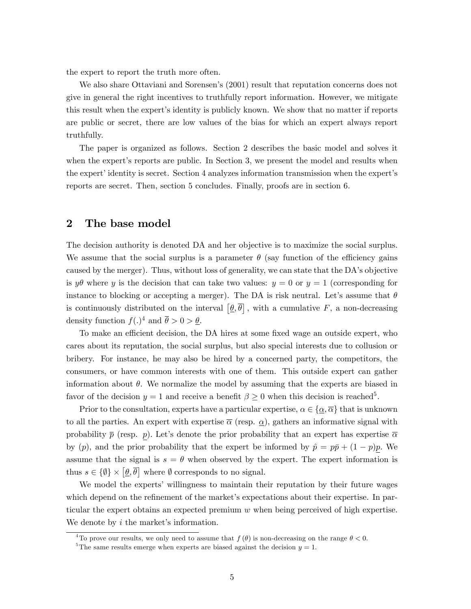the expert to report the truth more often.

We also share Ottaviani and Sorensen's (2001) result that reputation concerns does not give in general the right incentives to truthfully report information. However, we mitigate this result when the expert's identity is publicly known. We show that no matter if reports are public or secret, there are low values of the bias for which an expert always report truthfully.

The paper is organized as follows. Section 2 describes the basic model and solves it when the expert's reports are public. In Section 3, we present the model and results when the expert' identity is secret. Section 4 analyzes information transmission when the expert's reports are secret. Then, section 5 concludes. Finally, proofs are in section 6.

### 2 The base model

The decision authority is denoted DA and her objective is to maximize the social surplus. We assume that the social surplus is a parameter  $\theta$  (say function of the efficiency gains caused by the merger). Thus, without loss of generality, we can state that the DA's objective is  $y\theta$  where y is the decision that can take two values:  $y = 0$  or  $y = 1$  (corresponding for instance to blocking or accepting a merger). The DA is risk neutral. Let's assume that  $\theta$ is continuously distributed on the interval  $[\underline{\theta}, \overline{\theta}]$ , with a cumulative F, a non-decreasing density function  $f(.)^4$  and  $\overline{\theta} > 0 > \underline{\theta}$ .

To make an efficient decision, the DA hires at some fixed wage an outside expert, who cares about its reputation, the social surplus, but also special interests due to collusion or bribery. For instance, he may also be hired by a concerned party, the competitors, the consumers, or have common interests with one of them. This outside expert can gather information about  $\theta$ . We normalize the model by assuming that the experts are biased in favor of the decision  $y = 1$  and receive a benefit  $\beta \geq 0$  when this decision is reached<sup>5</sup>.

Prior to the consultation, experts have a particular expertise,  $\alpha \in \{\alpha, \overline{\alpha}\}\)$  that is unknown to all the parties. An expert with expertise  $\bar{\alpha}$  (resp.  $\alpha$ ), gathers an informative signal with probability  $\bar{p}$  (resp. p). Let's denote the prior probability that an expert has expertise  $\bar{\alpha}$ by  $(p)$ , and the prior probability that the expert be informed by  $\hat{p} = p\bar{p} + (1 - p)p$ . We assume that the signal is  $s = \theta$  when observed by the expert. The expert information is thus  $s \in {\emptyset} \times [\underline{\theta}, \overline{\theta}]$  where  $\emptyset$  corresponds to no signal.

We model the experts' willingness to maintain their reputation by their future wages which depend on the refinement of the market's expectations about their expertise. In particular the expert obtains an expected premium w when being perceived of high expertise. We denote by  $i$  the market's information.

<sup>&</sup>lt;sup>4</sup>To prove our results, we only need to assume that  $f(\theta)$  is non-decreasing on the range  $\theta < 0$ .

<sup>&</sup>lt;sup>5</sup>The same results emerge when experts are biased against the decision  $y = 1$ .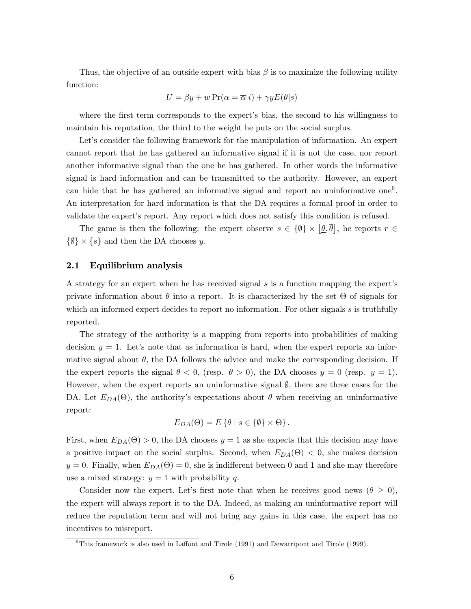Thus, the objective of an outside expert with bias  $\beta$  is to maximize the following utility function:

$$
U = \beta y + w \Pr(\alpha = \overline{\alpha}|i) + \gamma y E(\theta|s)
$$

where the first term corresponds to the expert's bias, the second to his willingness to maintain his reputation, the third to the weight he puts on the social surplus.

Let's consider the following framework for the manipulation of information. An expert cannot report that he has gathered an informative signal if it is not the case, nor report another informative signal than the one he has gathered. In other words the informative signal is hard information and can be transmitted to the authority. However, an expert can hide that he has gathered an informative signal and report an uninformative one<sup>6</sup>. An interpretation for hard information is that the DA requires a formal proof in order to validate the expertís report. Any report which does not satisfy this condition is refused.

The game is then the following: the expert observe  $s \in {\emptyset} \times [\underline{\theta}, \overline{\theta}]$ , he reports  $r \in$  $\{\emptyset\}\times\{s\}$  and then the DA chooses y.

#### 2.1 Equilibrium analysis

A strategy for an expert when he has received signal  $s$  is a function mapping the expert's private information about  $\theta$  into a report. It is characterized by the set  $\Theta$  of signals for which an informed expert decides to report no information. For other signals s is truthfully reported.

The strategy of the authority is a mapping from reports into probabilities of making decision  $y = 1$ . Let's note that as information is hard, when the expert reports an informative signal about  $\theta$ , the DA follows the advice and make the corresponding decision. If the expert reports the signal  $\theta < 0$ , (resp.  $\theta > 0$ ), the DA chooses  $y = 0$  (resp.  $y = 1$ ). However, when the expert reports an uninformative signal  $\emptyset$ , there are three cases for the DA. Let  $E_{DA}(\Theta)$ , the authority's expectations about  $\theta$  when receiving an uninformative report:

$$
E_{DA}(\Theta) = E\left\{\theta \mid s \in \{\emptyset\} \times \Theta\right\}.
$$

First, when  $E_{DA}(\Theta) > 0$ , the DA chooses  $y = 1$  as she expects that this decision may have a positive impact on the social surplus. Second, when  $E_{DA}(\Theta) < 0$ , she makes decision  $y = 0$ . Finally, when  $E_{DA}(\Theta) = 0$ , she is indifferent between 0 and 1 and she may therefore use a mixed strategy:  $y = 1$  with probability q.

Consider now the expert. Let's first note that when he receives good news ( $\theta \geq 0$ ), the expert will always report it to the DA. Indeed, as making an uninformative report will reduce the reputation term and will not bring any gains in this case, the expert has no incentives to misreport.

 $6$ This framework is also used in Laffont and Tirole (1991) and Dewatripont and Tirole (1999).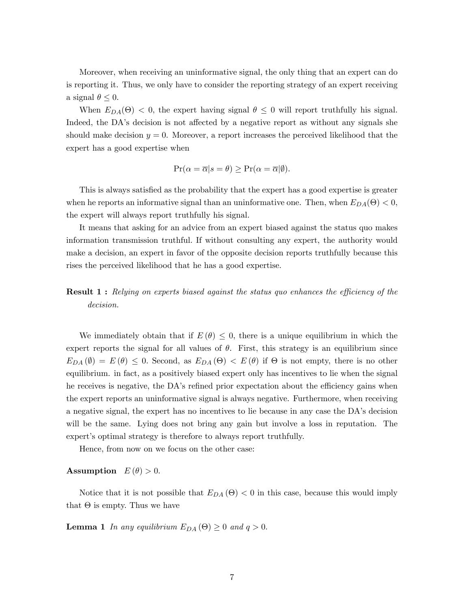Moreover, when receiving an uninformative signal, the only thing that an expert can do is reporting it. Thus, we only have to consider the reporting strategy of an expert receiving a signal  $\theta \leq 0$ .

When  $E_{DA}(\Theta) < 0$ , the expert having signal  $\theta \leq 0$  will report truthfully his signal. Indeed, the DA's decision is not affected by a negative report as without any signals she should make decision  $y = 0$ . Moreover, a report increases the perceived likelihood that the expert has a good expertise when

$$
\Pr(\alpha = \overline{\alpha}|s = \theta) \ge \Pr(\alpha = \overline{\alpha}|\emptyset).
$$

This is always satisfied as the probability that the expert has a good expertise is greater when he reports an informative signal than an uninformative one. Then, when  $E_{DA}(\Theta) < 0$ , the expert will always report truthfully his signal.

It means that asking for an advice from an expert biased against the status quo makes information transmission truthful. If without consulting any expert, the authority would make a decision, an expert in favor of the opposite decision reports truthfully because this rises the perceived likelihood that he has a good expertise.

# **Result 1:** Relying on experts biased against the status quo enhances the efficiency of the decision.

We immediately obtain that if  $E(\theta) \leq 0$ , there is a unique equilibrium in which the expert reports the signal for all values of  $\theta$ . First, this strategy is an equilibrium since  $E_{DA}(\emptyset) = E(\theta) \leq 0$ . Second, as  $E_{DA}(\Theta) < E(\theta)$  if  $\Theta$  is not empty, there is no other equilibrium. in fact, as a positively biased expert only has incentives to lie when the signal he receives is negative, the DA's refined prior expectation about the efficiency gains when the expert reports an uninformative signal is always negative. Furthermore, when receiving a negative signal, the expert has no incentives to lie because in any case the DAís decision will be the same. Lying does not bring any gain but involve a loss in reputation. The expert's optimal strategy is therefore to always report truthfully.

Hence, from now on we focus on the other case:

#### Assumption  $E(\theta) > 0$ .

Notice that it is not possible that  $E_{DA}(\Theta) < 0$  in this case, because this would imply that  $\Theta$  is empty. Thus we have

**Lemma 1** In any equilibrium  $E_{DA}(\Theta) \geq 0$  and  $q > 0$ .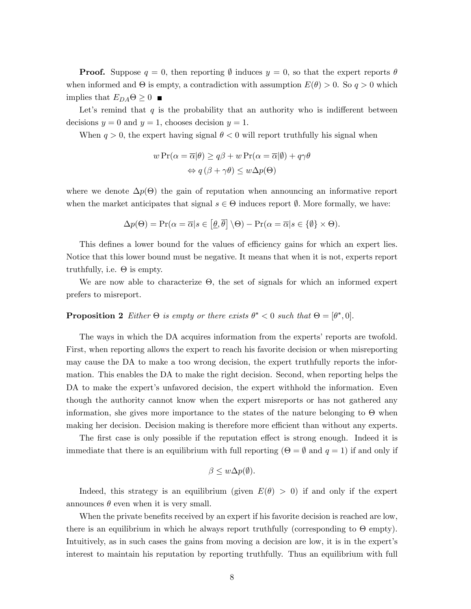**Proof.** Suppose  $q = 0$ , then reporting  $\emptyset$  induces  $y = 0$ , so that the expert reports  $\theta$ when informed and  $\Theta$  is empty, a contradiction with assumption  $E(\theta) > 0$ . So  $q > 0$  which implies that  $E_{DA} \Theta \geq 0$ 

Let's remind that  $q$  is the probability that an authority who is indifferent between decisions  $y = 0$  and  $y = 1$ , chooses decision  $y = 1$ .

When  $q > 0$ , the expert having signal  $\theta < 0$  will report truthfully his signal when

$$
w \Pr(\alpha = \overline{\alpha}|\theta) \ge q\beta + w \Pr(\alpha = \overline{\alpha}|\theta) + q\gamma\theta
$$
  

$$
\Leftrightarrow q(\beta + \gamma\theta) \le w \Delta p(\Theta)
$$

where we denote  $\Delta p(\Theta)$  the gain of reputation when announcing an informative report when the market anticipates that signal  $s \in \Theta$  induces report  $\emptyset$ . More formally, we have:

$$
\Delta p(\Theta) = \Pr(\alpha = \overline{\alpha} | s \in [\underline{\theta}, \overline{\theta}] \setminus \Theta) - \Pr(\alpha = \overline{\alpha} | s \in \{\emptyset\} \times \Theta).
$$

This defines a lower bound for the values of efficiency gains for which an expert lies. Notice that this lower bound must be negative. It means that when it is not, experts report truthfully, i.e.  $\Theta$  is empty.

We are now able to characterize  $\Theta$ , the set of signals for which an informed expert prefers to misreport.

# **Proposition 2** Either  $\Theta$  is empty or there exists  $\theta^* < 0$  such that  $\Theta = [\theta^*, 0].$

The ways in which the DA acquires information from the experts' reports are twofold. First, when reporting allows the expert to reach his favorite decision or when misreporting may cause the DA to make a too wrong decision, the expert truthfully reports the information. This enables the DA to make the right decision. Second, when reporting helps the DA to make the expert's unfavored decision, the expert withhold the information. Even though the authority cannot know when the expert misreports or has not gathered any information, she gives more importance to the states of the nature belonging to  $\Theta$  when making her decision. Decision making is therefore more efficient than without any experts.

The first case is only possible if the reputation effect is strong enough. Indeed it is immediate that there is an equilibrium with full reporting  $(\Theta = \emptyset$  and  $q = 1)$  if and only if

$$
\beta \leq w \Delta p(\emptyset).
$$

Indeed, this strategy is an equilibrium (given  $E(\theta) > 0$ ) if and only if the expert announces  $\theta$  even when it is very small.

When the private benefits received by an expert if his favorite decision is reached are low, there is an equilibrium in which he always report truthfully (corresponding to  $\Theta$  empty). Intuitively, as in such cases the gains from moving a decision are low, it is in the expertís interest to maintain his reputation by reporting truthfully. Thus an equilibrium with full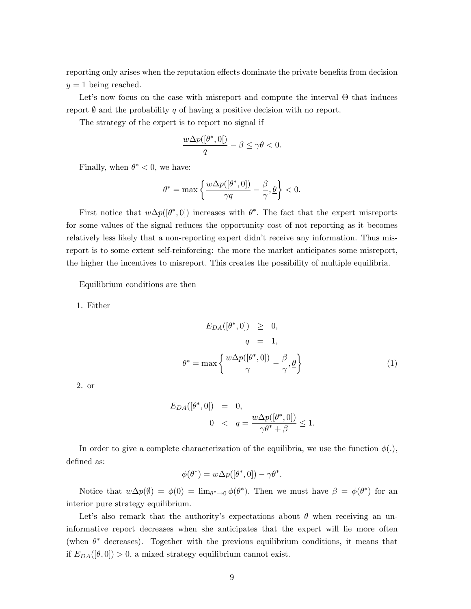reporting only arises when the reputation effects dominate the private benefits from decision  $y = 1$  being reached.

Let's now focus on the case with misreport and compute the interval  $\Theta$  that induces report  $\emptyset$  and the probability q of having a positive decision with no report.

The strategy of the expert is to report no signal if

$$
\frac{w\Delta p([\theta^*,0[)}{q}-\beta\leq \gamma\theta<0.
$$

Finally, when  $\theta^* < 0$ , we have:

$$
\theta^* = \max\left\{\frac{w\Delta p([\theta^*,0])}{\gamma q}-\frac{\beta}{\gamma},\underline{\theta}\right\} < 0.
$$

First notice that  $w\Delta p([\theta^*,0])$  increases with  $\theta^*$ . The fact that the expert misreports for some values of the signal reduces the opportunity cost of not reporting as it becomes relatively less likely that a non-reporting expert didn't receive any information. Thus misreport is to some extent self-reinforcing: the more the market anticipates some misreport, the higher the incentives to misreport. This creates the possibility of multiple equilibria.

Equilibrium conditions are then

1. Either

$$
E_{DA}([\theta^*, 0]) \geq 0,
$$
  
\n
$$
q = 1,
$$
  
\n
$$
\theta^* = \max \left\{ \frac{w \Delta p([\theta^*, 0])}{\gamma} - \frac{\beta}{\gamma}, \underline{\theta} \right\}
$$
\n(1)

2. or

$$
E_{DA}([\theta^*, 0]) = 0,
$$
  
 
$$
0 < q = \frac{w \Delta p([\theta^*, 0])}{\gamma \theta^* + \beta} \le 1.
$$

In order to give a complete characterization of the equilibria, we use the function  $\phi(.)$ , defined as:

$$
\phi(\theta^*) = w \Delta p([\theta^*, 0]) - \gamma \theta^*.
$$

Notice that  $w\Delta p(\emptyset) = \phi(0) = \lim_{\theta^* \to 0} \phi(\theta^*)$ . Then we must have  $\beta = \phi(\theta^*)$  for an interior pure strategy equilibrium.

Let's also remark that the authority's expectations about  $\theta$  when receiving an uninformative report decreases when she anticipates that the expert will lie more often (when  $\theta^*$  decreases). Together with the previous equilibrium conditions, it means that if  $E_{DA}([\underline{\theta}, 0]) > 0$ , a mixed strategy equilibrium cannot exist.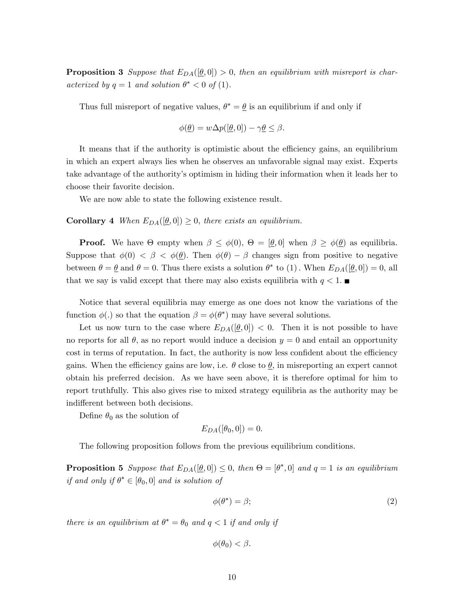**Proposition 3** Suppose that  $E_{DA}([\underline{\theta}, 0]) > 0$ , then an equilibrium with misreport is characterized by  $q = 1$  and solution  $\theta^* < 0$  of (1).

Thus full misreport of negative values,  $\theta^* = \theta$  is an equilibrium if and only if

$$
\phi(\underline{\theta}) = w \Delta p([\underline{\theta}, 0]) - \gamma \underline{\theta} \le \beta.
$$

It means that if the authority is optimistic about the efficiency gains, an equilibrium in which an expert always lies when he observes an unfavorable signal may exist. Experts take advantage of the authorityís optimism in hiding their information when it leads her to choose their favorite decision.

We are now able to state the following existence result.

**Corollary 4** When  $E_{DA}([\underline{\theta}, 0]) \geq 0$ , there exists an equilibrium.

**Proof.** We have  $\Theta$  empty when  $\beta \leq \phi(0), \Theta = [\underline{\theta}, 0]$  when  $\beta \geq \phi(\underline{\theta})$  as equilibria. Suppose that  $\phi(0) < \beta < \phi(\underline{\theta})$ . Then  $\phi(\theta) - \beta$  changes sign from positive to negative between  $\theta = \underline{\theta}$  and  $\theta = 0$ . Thus there exists a solution  $\theta^*$  to (1). When  $E_{DA}([\underline{\theta}, 0]) = 0$ , all that we say is valid except that there may also exists equilibria with  $q < 1$ .

Notice that several equilibria may emerge as one does not know the variations of the function  $\phi(.)$  so that the equation  $\beta = \phi(\theta^*)$  may have several solutions.

Let us now turn to the case where  $E_{DA}([\underline{\theta}, 0]) < 0$ . Then it is not possible to have no reports for all  $\theta$ , as no report would induce a decision  $y = 0$  and entail an opportunity cost in terms of reputation. In fact, the authority is now less confident about the efficiency gains. When the efficiency gains are low, i.e.  $\theta$  close to  $\theta$ , in misreporting an expert cannot obtain his preferred decision. As we have seen above, it is therefore optimal for him to report truthfully. This also gives rise to mixed strategy equilibria as the authority may be indifferent between both decisions.

Define  $\theta_0$  as the solution of

$$
E_{DA}([\theta_0, 0]) = 0.
$$

The following proposition follows from the previous equilibrium conditions.

**Proposition 5** Suppose that  $E_{DA}([\theta, 0]) \leq 0$ , then  $\Theta = [\theta^*, 0]$  and  $q = 1$  is an equilibrium if and only if  $\theta^* \in [\theta_0, 0]$  and is solution of

$$
\phi(\theta^*) = \beta; \tag{2}
$$

there is an equilibrium at  $\theta^* = \theta_0$  and  $q < 1$  if and only if

$$
\phi(\theta_0) < \beta.
$$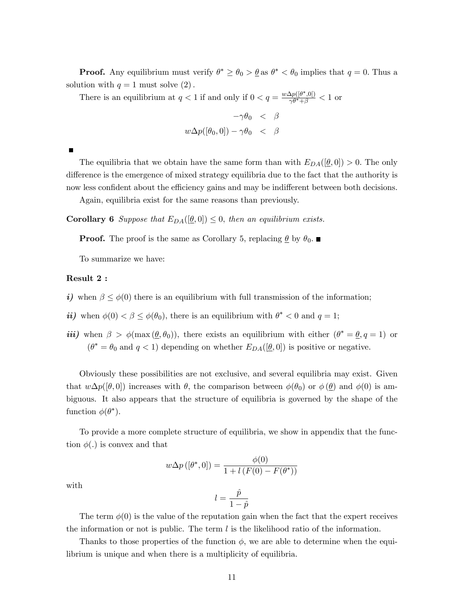**Proof.** Any equilibrium must verify  $\theta^* \ge \theta_0 > \underline{\theta}$  as  $\theta^* < \theta_0$  implies that  $q = 0$ . Thus a solution with  $q = 1$  must solve  $(2)$ .

There is an equilibrium at  $q < 1$  if and only if  $0 < q = \frac{w \Delta p ([\theta^*, 0])}{\gamma \theta^* + \beta} < 1$  or

$$
-\gamma \theta_0 < \beta
$$
  

$$
w \Delta p([\theta_0, 0]) - \gamma \theta_0 < \beta
$$

The equilibria that we obtain have the same form than with  $E_{DA}([\underline{\theta}, 0]) > 0$ . The only difference is the emergence of mixed strategy equilibria due to the fact that the authority is now less confident about the efficiency gains and may be indifferent between both decisions.

Again, equilibria exist for the same reasons than previously.

**Corollary 6** Suppose that  $E_{DA}([\underline{\theta}, 0]) \leq 0$ , then an equilibrium exists.

**Proof.** The proof is the same as Corollary 5, replacing  $\underline{\theta}$  by  $\theta_0$ .

To summarize we have:

#### Result 2 :

- i) when  $\beta \leq \phi(0)$  there is an equilibrium with full transmission of the information;
- *ii*) when  $\phi(0) < \beta \leq \phi(\theta_0)$ , there is an equilibrium with  $\theta^* < 0$  and  $q = 1$ ;
- *iii*) when  $\beta > \phi(\max(\theta, \theta_0))$ , there exists an equilibrium with either  $(\theta^* = \theta, q = 1)$  or  $(\theta^* = \theta_0 \text{ and } q < 1)$  depending on whether  $E_{DA}([\underline{\theta}, 0])$  is positive or negative.

Obviously these possibilities are not exclusive, and several equilibria may exist. Given that  $w\Delta p([\theta, 0])$  increases with  $\theta$ , the comparison between  $\phi(\theta_0)$  or  $\phi(\theta)$  and  $\phi(0)$  is ambiguous. It also appears that the structure of equilibria is governed by the shape of the function  $\phi(\theta^*)$ .

To provide a more complete structure of equilibria, we show in appendix that the function  $\phi(.)$  is convex and that

$$
w\Delta p\left([\theta^*,0]\right) = \frac{\phi(0)}{1 + l\left(F(0) - F(\theta^*)\right)}
$$

 $l = \frac{\hat{p}}{1}$  $1 - \hat{p}$ 

with

The term 
$$
\phi(0)
$$
 is the value of the reputation gain when the fact that the expert receives the information or not is public. The term  $l$  is the likelihood ratio of the information.

Thanks to those properties of the function  $\phi$ , we are able to determine when the equilibrium is unique and when there is a multiplicity of equilibria.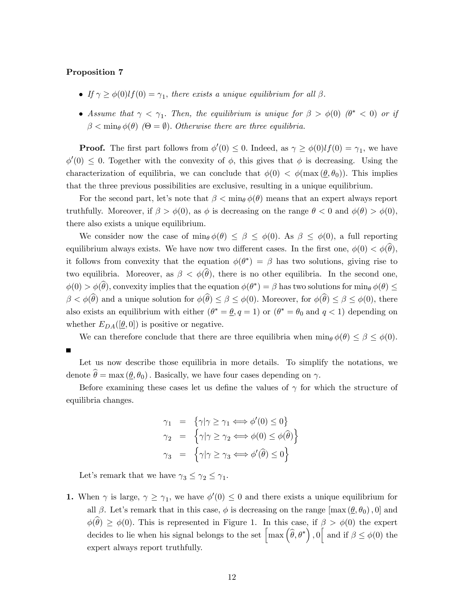#### Proposition 7

- If  $\gamma \geq \phi(0)lf(0) = \gamma_1$ , there exists a unique equilibrium for all  $\beta$ .
- Assume that  $\gamma < \gamma_1$ . Then, the equilibrium is unique for  $\beta > \phi(0)$  ( $\theta^* < 0$ ) or if  $\beta < \min_{\theta} \phi(\theta)$  ( $\Theta = \emptyset$ ). Otherwise there are three equilibria.

**Proof.** The first part follows from  $\phi'(0) \leq 0$ . Indeed, as  $\gamma \geq \phi(0)lf(0) = \gamma_1$ , we have  $\phi'(0) \leq 0$ . Together with the convexity of  $\phi$ , this gives that  $\phi$  is decreasing. Using the characterization of equilibria, we can conclude that  $\phi(0) < \phi(\max(\theta, \theta_0))$ . This implies that the three previous possibilities are exclusive, resulting in a unique equilibrium.

For the second part, let's note that  $\beta < \min_{\theta} \phi(\theta)$  means that an expert always report truthfully. Moreover, if  $\beta > \phi(0)$ , as  $\phi$  is decreasing on the range  $\theta < 0$  and  $\phi(\theta) > \phi(0)$ , there also exists a unique equilibrium.

We consider now the case of  $\min_{\theta} \phi(\theta) \leq \beta \leq \phi(0)$ . As  $\beta \leq \phi(0)$ , a full reporting equilibrium always exists. We have now two different cases. In the first one,  $\phi(0) < \phi(\widehat{\theta})$ , it follows from convexity that the equation  $\phi(\theta^*) = \beta$  has two solutions, giving rise to two equilibria. Moreover, as  $\beta < \phi(\theta)$ , there is no other equilibria. In the second one,  $\phi(0) > \phi(\widehat{\theta})$ , convexity implies that the equation  $\phi(\theta^*) = \beta$  has two solutions for min $\phi(\theta) \le$  $\beta < \phi(\widehat{\theta})$  and a unique solution for  $\phi(\widehat{\theta}) \leq \beta \leq \phi(0)$ . Moreover, for  $\phi(\widehat{\theta}) \leq \beta \leq \phi(0)$ , there also exists an equilibrium with either  $(\theta^* = \underline{\theta}, q = 1)$  or  $(\theta^* = \theta_0 \text{ and } q < 1)$  depending on whether  $E_{DA}([\underline{\theta}, 0])$  is positive or negative.

We can therefore conclude that there are three equilibria when  $\min_{\theta} \phi(\theta) \leq \beta \leq \phi(0)$ .

Let us now describe those equilibria in more details. To simplify the notations, we denote  $\hat{\theta} = \max(\theta, \theta_0)$ . Basically, we have four cases depending on  $\gamma$ .

Before examining these cases let us define the values of  $\gamma$  for which the structure of equilibria changes.

$$
\gamma_1 = \{ \gamma | \gamma \ge \gamma_1 \Longleftrightarrow \phi'(0) \le 0 \}
$$
  
\n
$$
\gamma_2 = \{ \gamma | \gamma \ge \gamma_2 \Longleftrightarrow \phi(0) \le \phi(\widehat{\theta}) \}
$$
  
\n
$$
\gamma_3 = \{ \gamma | \gamma \ge \gamma_3 \Longleftrightarrow \phi'(\widehat{\theta}) \le 0 \}
$$

Let's remark that we have  $\gamma_3 \leq \gamma_2 \leq \gamma_1$ .

1. When  $\gamma$  is large,  $\gamma \geq \gamma_1$ , we have  $\phi'(0) \leq 0$  and there exists a unique equilibrium for all  $\beta$ . Let's remark that in this case,  $\phi$  is decreasing on the range  $[\max(\underline{\theta}, \theta_0), 0]$  and  $\phi(\widehat{\theta}) \geq \phi(0)$ . This is represented in Figure 1. In this case, if  $\beta > \phi(0)$  the expert decides to lie when his signal belongs to the set  $\left[\max(\widehat{\theta},\theta^*)\right],0\right]$  and if  $\beta \leq \phi(0)$  the expert always report truthfully.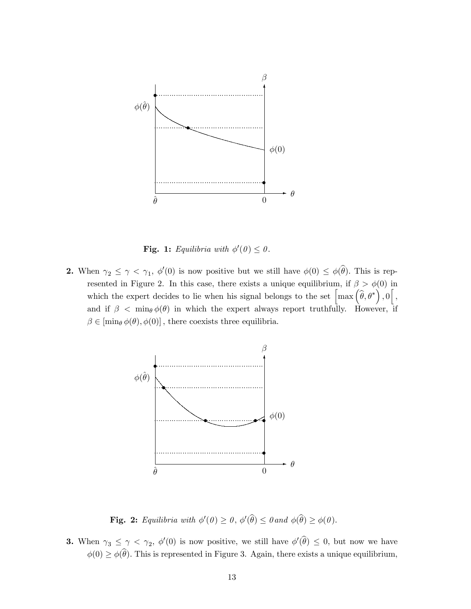

Fig. 1: Equilibria with  $\phi'(0) \leq 0$ .

**2.** When  $\gamma_2 \leq \gamma < \gamma_1$ ,  $\phi'(0)$  is now positive but we still have  $\phi(0) \leq \phi(\widehat{\theta})$ . This is represented in Figure 2. In this case, there exists a unique equilibrium, if  $\beta > \phi(0)$  in which the expert decides to lie when his signal belongs to the set  $\left[\max\left(\widehat{\theta},\theta^*\right),0\right],$ and if  $\beta$  < min  $\phi(\theta)$  in which the expert always report truthfully. However, if  $\beta \in [\min_{\theta} \phi(\theta), \phi(0)]$ , there coexists three equilibria.



**Fig. 2:** Equilibria with  $\phi'(\theta) \geq 0$ ,  $\phi'(\widehat{\theta}) \leq 0$  and  $\phi(\widehat{\theta}) \geq \phi(0)$ .

**3.** When  $\gamma_3 \leq \gamma < \gamma_2$ ,  $\phi'(0)$  is now positive, we still have  $\phi'(\widehat{\theta}) \leq 0$ , but now we have  $\phi(0) \ge \phi(\theta)$ . This is represented in Figure 3. Again, there exists a unique equilibrium,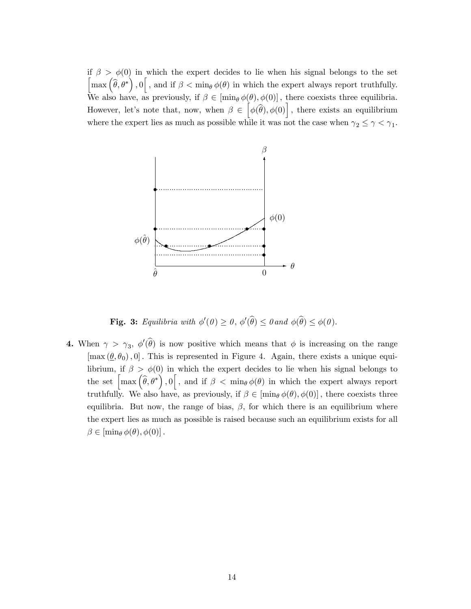if  $\beta > \phi(0)$  in which the expert decides to lie when his signal belongs to the set  $\left[\max\left(\widehat{\theta},\theta^*\right),0\right],$  and if  $\beta < \min_{\theta}\phi(\theta)$  in which the expert always report truthfully. We also have, as previously, if  $\beta \in [\min_{\theta} \phi(\theta), \phi(0)]$ , there coexists three equilibria. However, let's note that, now, when  $\beta \in [\phi(\widehat{\theta}), \phi(0)]$ , there exists an equilibrium where the expert lies as much as possible while it was not the case when  $\gamma_2 \leq \gamma < \gamma_1$ .



**Fig. 3:** Equilibria with  $\phi'(\theta) \ge 0$ ,  $\phi'(\widehat{\theta}) \le 0$  and  $\phi(\widehat{\theta}) \le \phi(\theta)$ .

**4.** When  $\gamma > \gamma_3$ ,  $\phi'(\widehat{\theta})$  is now positive which means that  $\phi$  is increasing on the range  $[\max(\theta, \theta_0), 0]$ . This is represented in Figure 4. Again, there exists a unique equilibrium, if  $\beta > \phi(0)$  in which the expert decides to lie when his signal belongs to the set  $\left[\max\left(\widehat{\theta},\theta^*\right),0\right],$  and if  $\beta < \min_{\theta}\phi(\theta)$  in which the expert always report truthfully. We also have, as previously, if  $\beta \in [\min_{\theta} \phi(\theta), \phi(0)]$ , there coexists three equilibria. But now, the range of bias,  $\beta$ , for which there is an equilibrium where the expert lies as much as possible is raised because such an equilibrium exists for all  $\beta \in [\min_{\theta} \phi(\theta), \phi(0)].$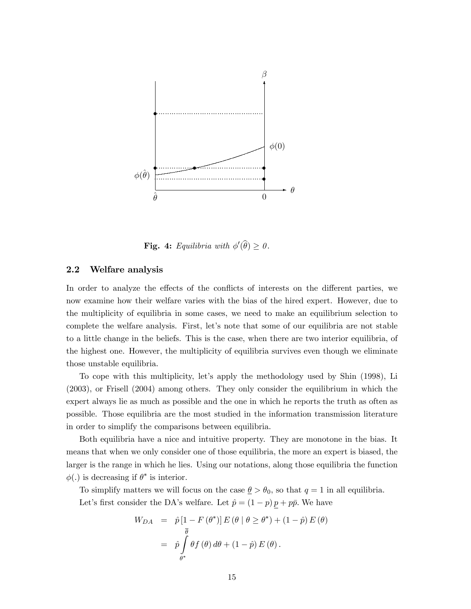

**Fig. 4:** Equilibria with  $\phi'(\widehat{\theta}) \geq 0$ .

#### 2.2 Welfare analysis

In order to analyze the effects of the conflicts of interests on the different parties, we now examine how their welfare varies with the bias of the hired expert. However, due to the multiplicity of equilibria in some cases, we need to make an equilibrium selection to complete the welfare analysis. First, let's note that some of our equilibria are not stable to a little change in the beliefs. This is the case, when there are two interior equilibria, of the highest one. However, the multiplicity of equilibria survives even though we eliminate those unstable equilibria.

To cope with this multiplicity, let's apply the methodology used by Shin (1998), Li (2003), or Frisell (2004) among others. They only consider the equilibrium in which the expert always lie as much as possible and the one in which he reports the truth as often as possible. Those equilibria are the most studied in the information transmission literature in order to simplify the comparisons between equilibria.

Both equilibria have a nice and intuitive property. They are monotone in the bias. It means that when we only consider one of those equilibria, the more an expert is biased, the larger is the range in which he lies. Using our notations, along those equilibria the function  $\phi(.)$  is decreasing if  $\theta^*$  is interior.

To simplify matters we will focus on the case  $\underline{\theta} > \theta_0$ , so that  $q = 1$  in all equilibria. Let's first consider the DA's welfare. Let  $\hat{p} = (1 - p) \, \underline{p} + p \bar{p}.$  We have

$$
W_{DA} = \hat{p} [1 - F(\theta^*)] E(\theta | \theta \ge \theta^*) + (1 - \hat{p}) E(\theta)
$$
  
= 
$$
\hat{p} \int_{\theta^*} \theta f(\theta) d\theta + (1 - \hat{p}) E(\theta).
$$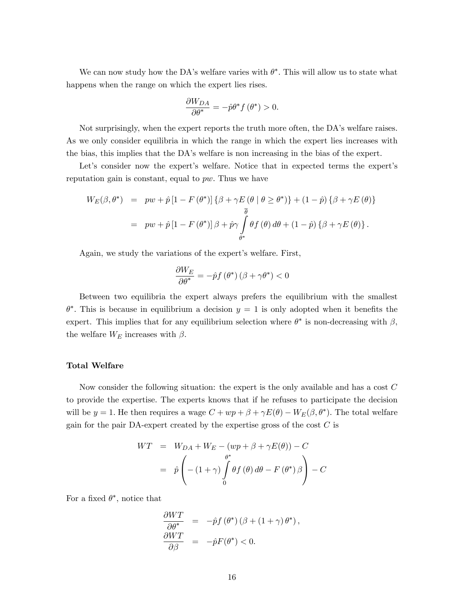We can now study how the DA's welfare varies with  $\theta^*$ . This will allow us to state what happens when the range on which the expert lies rises.

$$
\frac{\partial W_{DA}}{\partial \theta^*} = -\hat{p}\theta^* f(\theta^*) > 0.
$$

Not surprisingly, when the expert reports the truth more often, the DA's welfare raises. As we only consider equilibria in which the range in which the expert lies increases with the bias, this implies that the DAís welfare is non increasing in the bias of the expert.

Let's consider now the expert's welfare. Notice that in expected terms the expert's reputation gain is constant, equal to  $pw$ . Thus we have

$$
W_{E}(\beta, \theta^{*}) = pw + \hat{p} [1 - F(\theta^{*})] \{ \beta + \gamma E(\theta | \theta \ge \theta^{*}) \} + (1 - \hat{p}) \{ \beta + \gamma E(\theta) \}
$$
  
=  $pw + \hat{p} [1 - F(\theta^{*})] \beta + \hat{p}\gamma \int_{\theta^{*}}^{\overline{\theta}} \theta f(\theta) d\theta + (1 - \hat{p}) \{ \beta + \gamma E(\theta) \}.$ 

Again, we study the variations of the expert's welfare. First,

$$
\frac{\partial W_E}{\partial \theta^*} = -\hat{p} f\left(\theta^*\right) \left(\beta + \gamma \theta^*\right) < 0
$$

Between two equilibria the expert always prefers the equilibrium with the smallest  $\theta^*$ . This is because in equilibrium a decision  $y = 1$  is only adopted when it benefits the expert. This implies that for any equilibrium selection where  $\theta^*$  is non-decreasing with  $\beta$ , the welfare  $W_E$  increases with  $\beta$ .

#### Total Welfare

Now consider the following situation: the expert is the only available and has a cost C to provide the expertise. The experts knows that if he refuses to participate the decision will be  $y = 1$ . He then requires a wage  $C + wp + \beta + \gamma E(\theta) - W_E(\beta, \theta^*)$ . The total welfare gain for the pair DA-expert created by the expertise gross of the cost  $C$  is

$$
WT = W_{DA} + W_E - (wp + \beta + \gamma E(\theta)) - C
$$
  
=  $\hat{p} \left( -(1 + \gamma) \int_0^{\theta^*} \theta f(\theta) d\theta - F(\theta^*) \beta \right) - C$ 

For a fixed  $\theta^*$ , notice that

$$
\frac{\partial WT}{\partial \theta^*} = -\hat{p}f(\theta^*) (\beta + (1+\gamma)\theta^*),
$$
  
\n
$$
\frac{\partial WT}{\partial \beta} = -\hat{p}F(\theta^*) < 0.
$$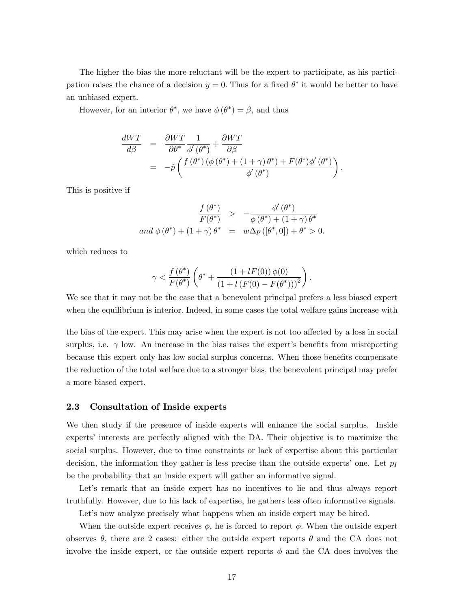The higher the bias the more reluctant will be the expert to participate, as his participation raises the chance of a decision  $y = 0$ . Thus for a fixed  $\theta^*$  it would be better to have an unbiased expert.

However, for an interior  $\theta^*$ , we have  $\phi(\theta^*) = \beta$ , and thus

$$
\frac{dWT}{d\beta} = \frac{\partial WT}{\partial \theta^*} \frac{1}{\phi'(\theta^*)} + \frac{\partial WT}{\partial \beta}
$$
  
= 
$$
-\hat{p}\left(\frac{f(\theta^*) (\phi(\theta^*) + (1+\gamma)\theta^*) + F(\theta^*)\phi'(\theta^*)}{\phi'(\theta^*)}\right).
$$

This is positive if

$$
\frac{f(\theta^*)}{F(\theta^*)} > -\frac{\phi'(\theta^*)}{\phi(\theta^*) + (1+\gamma)\theta^*}
$$
  
and  $\phi(\theta^*) + (1+\gamma)\theta^* = w\Delta p([\theta^*,0]) + \theta^* > 0$ .

which reduces to

$$
\gamma < \frac{f(\theta^*)}{F(\theta^*)}\left(\theta^* + \frac{\left(1 + lF(0)\right)\phi(0)}{\left(1 + l\left(F(0) - F(\theta^*)\right)\right)^2}\right).
$$

We see that it may not be the case that a benevolent principal prefers a less biased expert when the equilibrium is interior. Indeed, in some cases the total welfare gains increase with

the bias of the expert. This may arise when the expert is not too affected by a loss in social surplus, i.e.  $\gamma$  low. An increase in the bias raises the expert's benefits from misreporting because this expert only has low social surplus concerns. When those benefits compensate the reduction of the total welfare due to a stronger bias, the benevolent principal may prefer a more biased expert.

#### 2.3 Consultation of Inside experts

We then study if the presence of inside experts will enhance the social surplus. Inside experts' interests are perfectly aligned with the DA. Their objective is to maximize the social surplus. However, due to time constraints or lack of expertise about this particular decision, the information they gather is less precise than the outside experts' one. Let  $p_I$ be the probability that an inside expert will gather an informative signal.

Let's remark that an inside expert has no incentives to lie and thus always report truthfully. However, due to his lack of expertise, he gathers less often informative signals.

Let's now analyze precisely what happens when an inside expert may be hired.

When the outside expert receives  $\phi$ , he is forced to report  $\phi$ . When the outside expert observes  $\theta$ , there are 2 cases: either the outside expert reports  $\theta$  and the CA does not involve the inside expert, or the outside expert reports  $\phi$  and the CA does involves the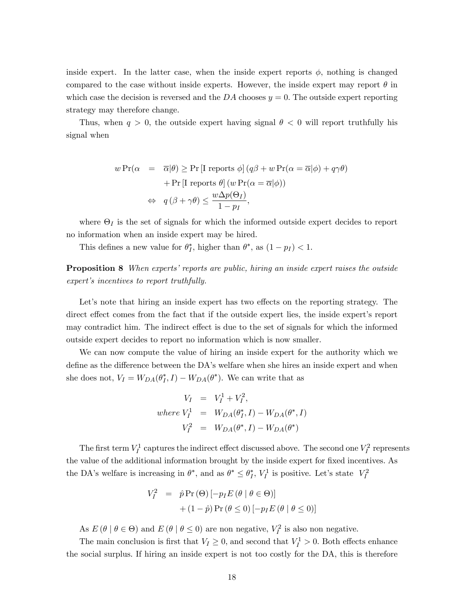inside expert. In the latter case, when the inside expert reports  $\phi$ , nothing is changed compared to the case without inside experts. However, the inside expert may report  $\theta$  in which case the decision is reversed and the DA chooses  $y = 0$ . The outside expert reporting strategy may therefore change.

Thus, when  $q > 0$ , the outside expert having signal  $\theta < 0$  will report truthfully his signal when

$$
w \Pr(\alpha = \overline{\alpha}|\theta) \ge \Pr[\text{I reports } \phi] (q\beta + w \Pr(\alpha = \overline{\alpha}|\phi) + q\gamma\theta)
$$

$$
+ \Pr[\text{I reports } \theta] (w \Pr(\alpha = \overline{\alpha}|\phi))
$$

$$
\Leftrightarrow q(\beta + \gamma\theta) \le \frac{w\Delta p(\Theta_I)}{1 - p_I},
$$

where  $\Theta_I$  is the set of signals for which the informed outside expert decides to report no information when an inside expert may be hired.

This defines a new value for  $\theta_I^*$  $j<sup>*</sup>$ , higher than  $\theta^*$ , as  $(1 - p_I) < 1$ .

**Proposition 8** When experts' reports are public, hiring an inside expert raises the outside expert's incentives to report truthfully.

Let's note that hiring an inside expert has two effects on the reporting strategy. The direct effect comes from the fact that if the outside expert lies, the inside expert's report may contradict him. The indirect effect is due to the set of signals for which the informed outside expert decides to report no information which is now smaller.

We can now compute the value of hiring an inside expert for the authority which we define as the difference between the DA's welfare when she hires an inside expert and when she does not,  $V_I = W_{DA}(\theta_I^*)$  $j<sub>I</sub>, I$ ) –  $W_{DA}(\theta^*)$ . We can write that as

$$
V_I = V_I^1 + V_I^2,
$$
  
where  $V_I^1 = W_{DA}(\theta_I^*, I) - W_{DA}(\theta^*, I)$   

$$
V_I^2 = W_{DA}(\theta^*, I) - W_{DA}(\theta^*)
$$

The first term  $V_I^1$  captures the indirect effect discussed above. The second one  $V_I^2$  represents the value of the additional information brought by the inside expert for fixed incentives. As the DA's welfare is increasing in  $\theta^*$ , and as  $\theta^* \leq \theta_I^*$  $I<sub>I</sub>$ ,  $V<sub>I</sub><sup>1</sup>$  is positive. Let's state  $V<sub>I</sub><sup>2</sup>$ 

$$
V_I^2 = \hat{p} \Pr(\Theta) [-p_I E (\theta | \theta \in \Theta)]
$$
  
 
$$
+ (1 - \hat{p}) \Pr(\theta \le 0) [-p_I E (\theta | \theta \le 0)]
$$

As  $E(\theta | \theta \in \Theta)$  and  $E(\theta | \theta \leq 0)$  are non negative,  $V_I^2$  is also non negative.

The main conclusion is first that  $V_I \geq 0$ , and second that  $V_I^1 > 0$ . Both effects enhance the social surplus. If hiring an inside expert is not too costly for the DA, this is therefore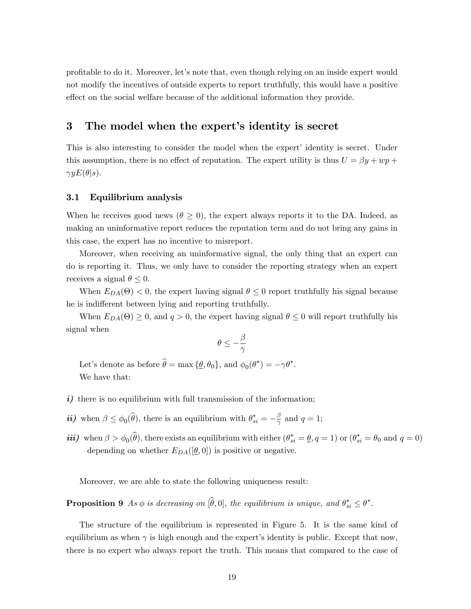profitable to do it. Moreover, let's note that, even though relying on an inside expert would not modify the incentives of outside experts to report truthfully, this would have a positive effect on the social welfare because of the additional information they provide.

# 3 The model when the expert's identity is secret

This is also interesting to consider the model when the expert identity is secret. Under this assumption, there is no effect of reputation. The expert utility is thus  $U = \beta y + wp +$  $\gamma y E(\theta|s)$ .

#### 3.1 Equilibrium analysis

When he receives good news ( $\theta \geq 0$ ), the expert always reports it to the DA. Indeed, as making an uninformative report reduces the reputation term and do not bring any gains in this case, the expert has no incentive to misreport.

Moreover, when receiving an uninformative signal, the only thing that an expert can do is reporting it. Thus, we only have to consider the reporting strategy when an expert receives a signal  $\theta \leq 0$ .

When  $E_{DA}(\Theta) < 0$ , the expert having signal  $\theta \leq 0$  report truthfully his signal because he is indifferent between lying and reporting truthfully.

When  $E_{DA}(\Theta) \geq 0$ , and  $q > 0$ , the expert having signal  $\theta \leq 0$  will report truthfully his signal when

$$
\theta \leq -\frac{\beta}{\gamma}
$$

Let's denote as before  $\hat{\theta} = \max{\{\underline{\theta}, \theta_0\}}$ , and  $\phi_0(\theta^*) = -\gamma \theta^*$ . We have that:

- $i)$  there is no equilibrium with full transmission of the information;
- *ii*) when  $\beta \leq \phi_0(\widehat{\theta})$ , there is an equilibrium with  $\theta_{si}^* = -\frac{\beta}{\gamma}$  $\frac{\beta}{\gamma}$  and  $q=1$ ;
- *iii*) when  $\beta > \phi_0(\widehat{\theta})$ , there exists an equilibrium with either  $(\theta_{si}^* = \underline{\theta}, q = 1)$  or  $(\theta_{si}^* = \theta_0 \text{ and } q = 0)$ depending on whether  $E_{DA}([\underline{\theta}, 0])$  is positive or negative.

Moreover, we are able to state the following uniqueness result:

**Proposition 9** As  $\phi$  is decreasing on  $[\widehat{\theta}, 0]$ , the equilibrium is unique, and  $\theta_{si}^* \leq \theta^*$ .

The structure of the equilibrium is represented in Figure 5. It is the same kind of equilibrium as when  $\gamma$  is high enough and the expert's identity is public. Except that now, there is no expert who always report the truth. This means that compared to the case of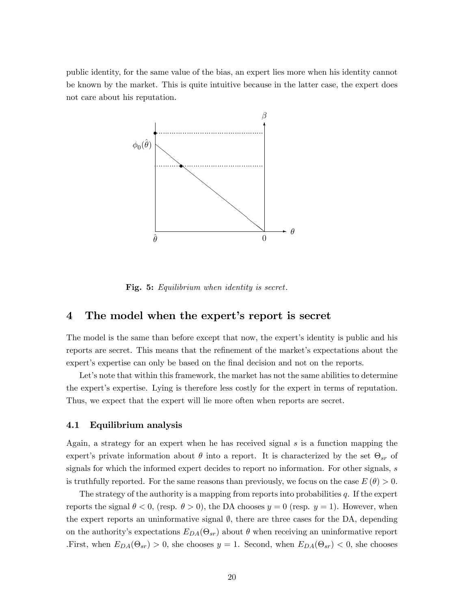public identity, for the same value of the bias, an expert lies more when his identity cannot be known by the market. This is quite intuitive because in the latter case, the expert does not care about his reputation.



Fig. 5: Equilibrium when identity is secret.

# 4 The model when the expert's report is secret

The model is the same than before except that now, the expert's identity is public and his reports are secret. This means that the refinement of the market's expectations about the expert's expertise can only be based on the final decision and not on the reports.

Let's note that within this framework, the market has not the same abilities to determine the expertís expertise. Lying is therefore less costly for the expert in terms of reputation. Thus, we expect that the expert will lie more often when reports are secret.

#### 4.1 Equilibrium analysis

Again, a strategy for an expert when he has received signal s is a function mapping the expert's private information about  $\theta$  into a report. It is characterized by the set  $\Theta_{sr}$  of signals for which the informed expert decides to report no information. For other signals, s is truthfully reported. For the same reasons than previously, we focus on the case  $E(\theta) > 0$ .

The strategy of the authority is a mapping from reports into probabilities  $q$ . If the expert reports the signal  $\theta < 0$ , (resp.  $\theta > 0$ ), the DA chooses  $y = 0$  (resp.  $y = 1$ ). However, when the expert reports an uninformative signal  $\emptyset$ , there are three cases for the DA, depending on the authority's expectations  $E_{DA}(\Theta_{sr})$  about  $\theta$  when receiving an uninformative report First, when  $E_{DA}(\Theta_{sr}) > 0$ , she chooses  $y = 1$ . Second, when  $E_{DA}(\Theta_{sr}) < 0$ , she chooses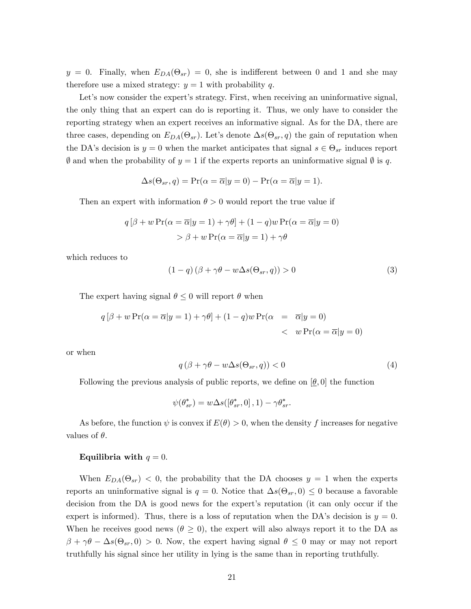$y = 0$ . Finally, when  $E_{DA}(\Theta_{sr}) = 0$ , she is indifferent between 0 and 1 and she may therefore use a mixed strategy:  $y = 1$  with probability q.

Let's now consider the expert's strategy. First, when receiving an uninformative signal, the only thing that an expert can do is reporting it. Thus, we only have to consider the reporting strategy when an expert receives an informative signal. As for the DA, there are three cases, depending on  $E_{DA}(\Theta_{sr})$ . Let's denote  $\Delta s(\Theta_{sr}, q)$  the gain of reputation when the DA's decision is  $y = 0$  when the market anticipates that signal  $s \in \Theta_{sr}$  induces report  $\emptyset$  and when the probability of  $y = 1$  if the experts reports an uninformative signal  $\emptyset$  is q.

$$
\Delta s(\Theta_{sr}, q) = \Pr(\alpha = \overline{\alpha}|y = 0) - \Pr(\alpha = \overline{\alpha}|y = 1).
$$

Then an expert with information  $\theta > 0$  would report the true value if

$$
q [\beta + w \Pr(\alpha = \overline{\alpha} | y = 1) + \gamma \theta] + (1 - q)w \Pr(\alpha = \overline{\alpha} | y = 0)
$$
  
> 
$$
\beta + w \Pr(\alpha = \overline{\alpha} | y = 1) + \gamma \theta
$$

which reduces to

$$
(1 - q)(\beta + \gamma \theta - w\Delta s(\Theta_{sr}, q)) > 0
$$
\n(3)

The expert having signal  $\theta \leq 0$  will report  $\theta$  when

$$
q [\beta + w \Pr(\alpha = \overline{\alpha}|y=1) + \gamma \theta] + (1-q)w \Pr(\alpha = \overline{\alpha}|y=0)
$$
  
< 
$$
< w \Pr(\alpha = \overline{\alpha}|y=0)
$$

or when

$$
q\left(\beta + \gamma\theta - w\Delta s(\Theta_{sr}, q)\right) < 0\tag{4}
$$

Following the previous analysis of public reports, we define on  $[\theta, 0]$  the function

$$
\psi(\theta_{sr}^*) = w\Delta s([\theta_{sr}^*, 0], 1) - \gamma \theta_{sr}^*.
$$

As before, the function  $\psi$  is convex if  $E(\theta) > 0$ , when the density f increases for negative values of  $\theta$ .

#### Equilibria with  $q = 0$ .

When  $E_{DA}(\Theta_{sr})$  < 0, the probability that the DA chooses  $y = 1$  when the experts reports an uninformative signal is  $q = 0$ . Notice that  $\Delta s(\Theta_{sr}, 0) \leq 0$  because a favorable decision from the DA is good news for the expert's reputation (it can only occur if the expert is informed). Thus, there is a loss of reputation when the DA's decision is  $y = 0$ . When he receives good news ( $\theta \geq 0$ ), the expert will also always report it to the DA as  $\beta + \gamma \theta - \Delta s(\Theta_{sr}, 0) > 0$ . Now, the expert having signal  $\theta \leq 0$  may or may not report truthfully his signal since her utility in lying is the same than in reporting truthfully.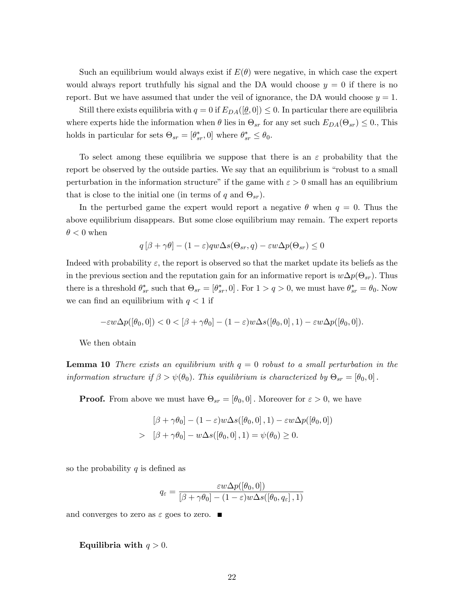Such an equilibrium would always exist if  $E(\theta)$  were negative, in which case the expert would always report truthfully his signal and the DA would choose  $y = 0$  if there is no report. But we have assumed that under the veil of ignorance, the DA would choose  $y = 1$ .

Still there exists equilibria with  $q = 0$  if  $E_{DA}([\underline{\theta}, 0]) \leq 0$ . In particular there are equilibria where experts hide the information when  $\theta$  lies in  $\Theta_{sr}$  for any set such  $E_{DA}(\Theta_{sr}) \leq 0$ ., This holds in particular for sets  $\Theta_{sr} = [\theta_{sr}^*, 0]$  where  $\theta_{sr}^* \leq \theta_0$ .

To select among these equilibria we suppose that there is an  $\varepsilon$  probability that the report be observed by the outside parties. We say that an equilibrium is "robust to a small perturbation in the information structure" if the game with  $\varepsilon > 0$  small has an equilibrium that is close to the initial one (in terms of q and  $\Theta_{sr}$ ).

In the perturbed game the expert would report a negative  $\theta$  when  $q = 0$ . Thus the above equilibrium disappears. But some close equilibrium may remain. The expert reports  $\theta$  < 0 when

$$
q[\beta + \gamma \theta] - (1 - \varepsilon)qw\Delta s(\Theta_{sr}, q) - \varepsilon w \Delta p(\Theta_{sr}) \le 0
$$

Indeed with probability  $\varepsilon$ , the report is observed so that the market update its beliefs as the in the previous section and the reputation gain for an informative report is  $w\Delta p(\Theta_{sr})$ . Thus there is a threshold  $\theta_{sr}^*$  such that  $\Theta_{sr} = [\theta_{sr}^*, 0]$ . For  $1 > q > 0$ , we must have  $\theta_{sr}^* = \theta_0$ . Now we can find an equilibrium with  $q < 1$  if

$$
-\varepsilon w \Delta p([\theta_0,0]) < 0 < [\beta + \gamma \theta_0] - (1-\varepsilon) w \Delta s([\theta_0,0],1) - \varepsilon w \Delta p([\theta_0,0]).
$$

We then obtain

**Lemma 10** There exists an equilibrium with  $q = 0$  robust to a small perturbation in the information structure if  $\beta > \psi(\theta_0)$ . This equilibrium is characterized by  $\Theta_{sr} = [\theta_0, 0]$ .

**Proof.** From above we must have  $\Theta_{sr} = [\theta_0, 0]$ . Moreover for  $\varepsilon > 0$ , we have

$$
[\beta + \gamma \theta_0] - (1 - \varepsilon) w \Delta s([\theta_0, 0], 1) - \varepsilon w \Delta p([\theta_0, 0])
$$
  
> 
$$
[\beta + \gamma \theta_0] - w \Delta s([\theta_0, 0], 1) = \psi(\theta_0) \ge 0.
$$

so the probability  $q$  is defined as

$$
q_{\varepsilon} = \frac{\varepsilon w \Delta p([\theta_0, 0])}{[\beta + \gamma \theta_0] - (1 - \varepsilon) w \Delta s([\theta_0, q_{\varepsilon}], 1)}
$$

and converges to zero as  $\varepsilon$  goes to zero.  $\blacksquare$ 

#### Equilibria with  $q > 0$ .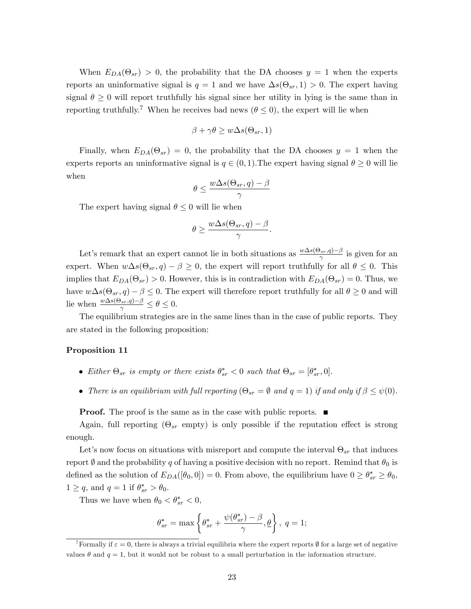When  $E_{DA}(\Theta_{sr}) > 0$ , the probability that the DA chooses  $y = 1$  when the experts reports an uninformative signal is  $q = 1$  and we have  $\Delta s(\Theta_{sr}, 1) > 0$ . The expert having signal  $\theta \geq 0$  will report truthfully his signal since her utility in lying is the same than in reporting truthfully.<sup>7</sup> When he receives bad news ( $\theta \leq 0$ ), the expert will lie when

$$
\beta + \gamma \theta \ge w \Delta s(\Theta_{sr}, 1)
$$

Finally, when  $E_{DA}(\Theta_{sr}) = 0$ , the probability that the DA chooses  $y = 1$  when the experts reports an uninformative signal is  $q \in (0, 1)$ . The expert having signal  $\theta \ge 0$  will lie when

$$
\theta \le \frac{w\Delta s(\Theta_{sr},q)-\beta}{\gamma}
$$

The expert having signal  $\theta \leq 0$  will lie when

$$
\theta \ge \frac{w\Delta s(\Theta_{sr},q)-\beta}{\gamma}.
$$

Let's remark that an expert cannot lie in both situations as  $\frac{w\Delta s(\Theta_{sr},q)-\beta}{\gamma}$  $\frac{\sum_{s} q(s)-p}{\gamma}$  is given for an expert. When  $w\Delta s(\Theta_{sr}, q) - \beta \geq 0$ , the expert will report truthfully for all  $\theta \leq 0$ . This implies that  $E_{DA}(\Theta_{sr}) > 0$ . However, this is in contradiction with  $E_{DA}(\Theta_{sr}) = 0$ . Thus, we have  $w\Delta s(\Theta_{sr}, q) - \beta \leq 0$ . The expert will therefore report truthfully for all  $\theta \geq 0$  and will lie when  $\frac{w\Delta s(\Theta_{sr},q)-\beta}{\gamma} \leq \theta \leq 0.$ 

The equilibrium strategies are in the same lines than in the case of public reports. They are stated in the following proposition:

#### Proposition 11

- Either  $\Theta_{sr}$  is empty or there exists  $\theta_{sr}^* < 0$  such that  $\Theta_{sr} = [\theta_{sr}^*, 0].$
- There is an equilibrium with full reporting  $(\Theta_{sr} = \emptyset \text{ and } q = 1)$  if and only if  $\beta \leq \psi(0)$ .

**Proof.** The proof is the same as in the case with public reports.  $\blacksquare$ 

Again, full reporting  $(\Theta_{sr}$  empty) is only possible if the reputation effect is strong enough.

Let's now focus on situations with misreport and compute the interval  $\Theta_{sr}$  that induces report  $\emptyset$  and the probability q of having a positive decision with no report. Remind that  $\theta_0$  is defined as the solution of  $E_{DA}([\theta_0, 0]) = 0$ . From above, the equilibrium have  $0 \geq \theta_{sr}^* \geq \theta_0$ ,  $1 \geq q$ , and  $q = 1$  if  $\theta_{sr}^* > \theta_0$ .

Thus we have when  $\theta_0 < \theta_{sr}^* < 0$ ,

$$
\theta_{sr}^* = \max\left\{\theta_{sr}^* + \frac{\psi(\theta_{sr}^*) - \beta}{\gamma}, \underline{\theta}\right\},\;q=1;
$$

<sup>&</sup>lt;sup>7</sup>Formally if  $\varepsilon = 0$ , there is always a trivial equilibria where the expert reports  $\emptyset$  for a large set of negative values  $\theta$  and  $q = 1$ , but it would not be robust to a small perturbation in the information structure.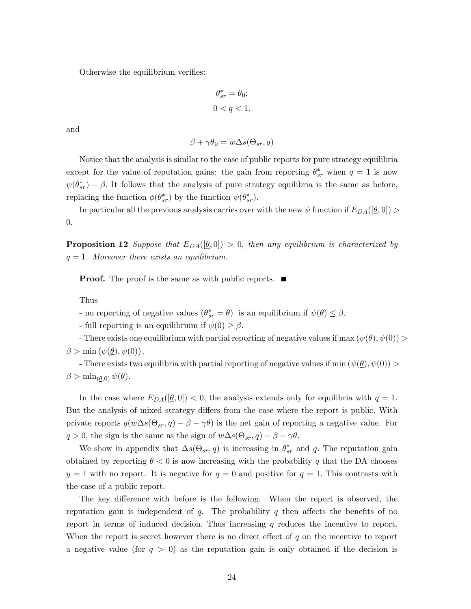Otherwise the equilibrium verifies:

$$
\theta_{sr}^* = \theta_0;
$$
  

$$
0 < q < 1.
$$

and

$$
\beta + \gamma \theta_0 = w \Delta s(\Theta_{sr}, q)
$$

Notice that the analysis is similar to the case of public reports for pure strategy equilibria except for the value of reputation gains: the gain from reporting  $\theta_{sr}^*$  when  $q = 1$  is now  $\psi(\theta_{sr}^*)$  –  $\beta$ . It follows that the analysis of pure strategy equilibria is the same as before, replacing the function  $\phi(\theta_{sr}^*)$  by the function  $\psi(\theta_{sr}^*)$ .

In particular all the previous analysis carries over with the new  $\psi$  function if  $E_{DA}([\theta,0])$ 0:

**Proposition 12** Suppose that  $E_{DA}([\underline{\theta},0]) > 0$ , then any equilibrium is characterized by  $q = 1$ . Moreover there exists an equilibrium.

**Proof.** The proof is the same as with public reports.  $\blacksquare$ 

Thus

- no reporting of negative values  $(\theta^*_{sr} = \underline{\theta})$  is an equilibrium if  $\psi(\underline{\theta}) \leq \beta$ ,

- full reporting is an equilibrium if  $\psi(0) \geq \beta$ .

- There exists one equilibrium with partial reporting of negative values if max  $(\psi(\theta), \psi(0)) >$  $\beta > \min (\psi(\underline{\theta}), \psi(0)).$ 

- There exists two equilibria with partial reporting of negative values if min  $(\psi(\theta), \psi(0)) >$  $\beta > \min_{(\theta,0)} \psi(\theta).$ 

In the case where  $E_{DA}([\underline{\theta}, 0]) < 0$ , the analysis extends only for equilibria with  $q = 1$ . But the analysis of mixed strategy differs from the case where the report is public. With private reports  $q(w\Delta s(\Theta_{sr}, q) - \beta - \gamma \theta)$  is the net gain of reporting a negative value. For  $q > 0$ , the sign is the same as the sign of  $w\Delta s(\Theta_{sr}, q) - \beta - \gamma\theta$ .

We show in appendix that  $\Delta s(\Theta_{sr}, q)$  is increasing in  $\theta_{sr}^*$  and q. The reputation gain obtained by reporting  $\theta < 0$  is now increasing with the probability q that the DA chooses  $y = 1$  with no report. It is negative for  $q = 0$  and positive for  $q = 1$ . This contrasts with the case of a public report.

The key difference with before is the following. When the report is observed, the reputation gain is independent of  $q$ . The probability  $q$  then affects the benefits of no report in terms of induced decision. Thus increasing  $q$  reduces the incentive to report. When the report is secret however there is no direct effect of  $q$  on the incentive to report a negative value (for  $q > 0$ ) as the reputation gain is only obtained if the decision is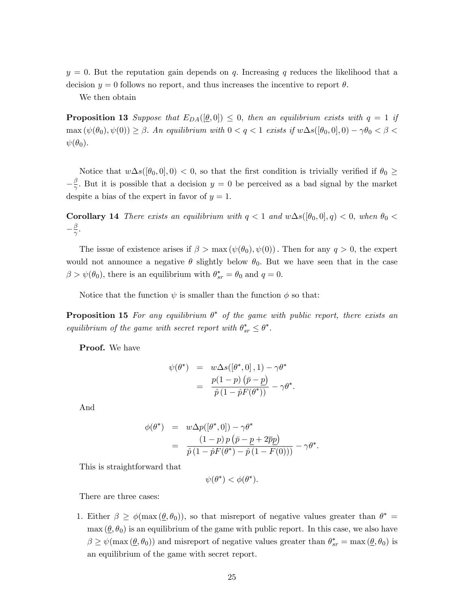$y = 0$ . But the reputation gain depends on q. Increasing q reduces the likelihood that a decision  $y = 0$  follows no report, and thus increases the incentive to report  $\theta$ .

We then obtain

**Proposition 13** Suppose that  $E_{DA}([\underline{\theta},0]) \leq 0$ , then an equilibrium exists with  $q = 1$  if  $\max(\psi(\theta_0), \psi(0)) \geq \beta$ . An equilibrium with  $0 < q < 1$  exists if  $w \Delta s([\theta_0, 0], 0) - \gamma \theta_0 < \beta <$  $\psi(\theta_0)$ .

Notice that  $w\Delta s([\theta_0, 0], 0) < 0$ , so that the first condition is trivially verified if  $\theta_0 \geq$  $-\frac{\beta}{\gamma}$  $\frac{\beta}{\gamma}$ . But it is possible that a decision  $y = 0$  be perceived as a bad signal by the market despite a bias of the expert in favor of  $y = 1$ .

**Corollary 14** There exists an equilibrium with  $q < 1$  and  $w\Delta s([\theta_0, 0], q) < 0$ , when  $\theta_0 <$  $-\frac{\beta}{\gamma}$  $\frac{\beta}{\gamma}.$ 

The issue of existence arises if  $\beta > \max(\psi(\theta_0), \psi(0))$ . Then for any  $q > 0$ , the expert would not announce a negative  $\theta$  slightly below  $\theta_0$ . But we have seen that in the case  $\beta > \psi(\theta_0)$ , there is an equilibrium with  $\theta_{sr}^* = \theta_0$  and  $q = 0$ .

Notice that the function  $\psi$  is smaller than the function  $\phi$  so that:

**Proposition 15** For any equilibrium  $\theta^*$  of the game with public report, there exists an equilibrium of the game with secret report with  $\theta^*_{sr} \leq \theta^*$ .

Proof. We have

$$
\psi(\theta^*) = w\Delta s([\theta^*, 0], 1) - \gamma \theta^*
$$
  
= 
$$
\frac{p(1-p) (\bar{p} - \underline{p})}{\hat{p}(1 - \hat{p}F(\theta^*))} - \gamma \theta^*.
$$

And

$$
\begin{array}{rcl}\n\phi(\theta^*) & = & w \Delta p([\theta^*,0]) - \gamma \theta^* \\
& = & \frac{(1-p) \, p \, ( \bar{p} - \underline{p} + 2 \overline{p} \underline{p})}{\hat{p} \, (1 - \hat{p} F(\theta^*) - \hat{p} \, (1 - F(0)))} - \gamma \theta^*.\n\end{array}
$$

This is straightforward that

$$
\psi(\theta^*) < \phi(\theta^*).
$$

There are three cases:

1. Either  $\beta \geq \phi(\max(\underline{\theta}, \theta_0))$ , so that misreport of negative values greater than  $\theta^* =$  $\max (\theta, \theta_0)$  is an equilibrium of the game with public report. In this case, we also have  $\beta \geq \psi(\max(\underline{\theta}, \theta_0))$  and misreport of negative values greater than  $\theta_{sr}^* = \max(\underline{\theta}, \theta_0)$  is an equilibrium of the game with secret report.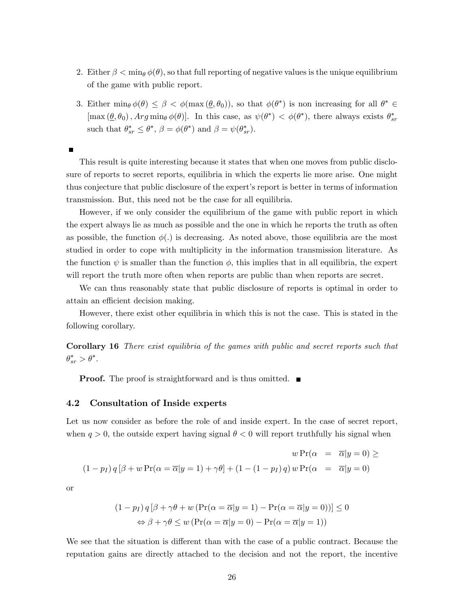- 2. Either  $\beta < \min_{\theta} \phi(\theta)$ , so that full reporting of negative values is the unique equilibrium of the game with public report.
- 3. Either min $_{\theta}\phi(\theta) \leq \beta < \phi(\max(\theta, \theta_0))$ , so that  $\phi(\theta^*)$  is non increasing for all  $\theta^* \in$  $[\max(\underline{\theta}, \theta_0), Arg \min_{\theta} \phi(\theta)].$  In this case, as  $\psi(\theta^*) < \phi(\theta^*)$ , there always exists  $\theta_s^*$ sr such that  $\theta_{sr}^* \leq \theta^*, \beta = \phi(\theta^*)$  and  $\beta = \psi(\theta_{sr}^*)$ .

This result is quite interesting because it states that when one moves from public disclosure of reports to secret reports, equilibria in which the experts lie more arise. One might thus conjecture that public disclosure of the expertís report is better in terms of information transmission. But, this need not be the case for all equilibria.

However, if we only consider the equilibrium of the game with public report in which the expert always lie as much as possible and the one in which he reports the truth as often as possible, the function  $\phi(.)$  is decreasing. As noted above, those equilibria are the most studied in order to cope with multiplicity in the information transmission literature. As the function  $\psi$  is smaller than the function  $\phi$ , this implies that in all equilibria, the expert will report the truth more often when reports are public than when reports are secret.

We can thus reasonably state that public disclosure of reports is optimal in order to attain an efficient decision making.

However, there exist other equilibria in which this is not the case. This is stated in the following corollary.

Corollary 16 There exist equilibria of the games with public and secret reports such that  $\theta_{sr}^* > \theta^*$ .

**Proof.** The proof is straightforward and is thus omitted.  $\blacksquare$ 

#### 4.2 Consultation of Inside experts

Let us now consider as before the role of and inside expert. In the case of secret report, when  $q > 0$ , the outside expert having signal  $\theta < 0$  will report truthfully his signal when

$$
w \Pr(\alpha = \overline{\alpha}|y=0) \ge
$$
  
(1 - *p*<sub>I</sub>) *q* [ $\beta$  + *w* Pr( $\alpha = \overline{\alpha}|y=1$ ) +  $\gamma\theta$ ] + (1 – (1 – *p*<sub>I</sub>) *q*) *w* Pr( $\alpha = \overline{\alpha}|y=0$ )

or

$$
(1 - p_I) q [\beta + \gamma \theta + w (\Pr(\alpha = \overline{\alpha} | y = 1) - \Pr(\alpha = \overline{\alpha} | y = 0))] \le 0
$$
  

$$
\Leftrightarrow \beta + \gamma \theta \le w (\Pr(\alpha = \overline{\alpha} | y = 0) - \Pr(\alpha = \overline{\alpha} | y = 1))
$$

We see that the situation is different than with the case of a public contract. Because the reputation gains are directly attached to the decision and not the report, the incentive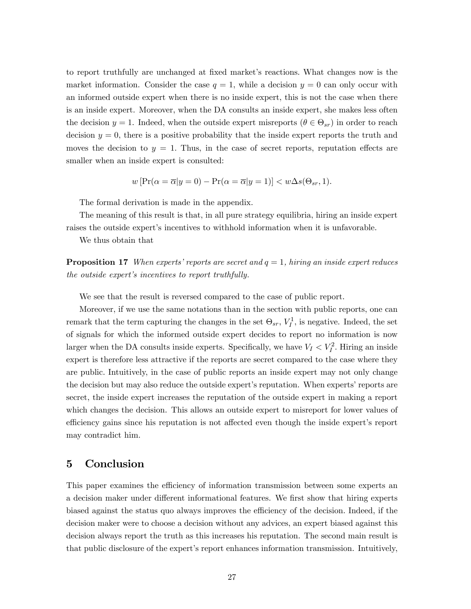to report truthfully are unchanged at fixed market's reactions. What changes now is the market information. Consider the case  $q = 1$ , while a decision  $y = 0$  can only occur with an informed outside expert when there is no inside expert, this is not the case when there is an inside expert. Moreover, when the DA consults an inside expert, she makes less often the decision  $y = 1$ . Indeed, when the outside expert misreports  $(\theta \in \Theta_{sr})$  in order to reach decision  $y = 0$ , there is a positive probability that the inside expert reports the truth and moves the decision to  $y = 1$ . Thus, in the case of secret reports, reputation effects are smaller when an inside expert is consulted:

$$
w\left[\Pr(\alpha = \overline{\alpha}|y=0) - \Pr(\alpha = \overline{\alpha}|y=1)\right] < w\Delta s(\Theta_{sr}, 1).
$$

The formal derivation is made in the appendix.

The meaning of this result is that, in all pure strategy equilibria, hiring an inside expert raises the outside expert's incentives to withhold information when it is unfavorable.

We thus obtain that

**Proposition 17** When experts' reports are secret and  $q = 1$ , hiring an inside expert reduces the outside expert's incentives to report truthfully.

We see that the result is reversed compared to the case of public report.

Moreover, if we use the same notations than in the section with public reports, one can remark that the term capturing the changes in the set  $\Theta_{sr}$ ,  $V_I^1$ , is negative. Indeed, the set of signals for which the informed outside expert decides to report no information is now larger when the DA consults inside experts. Specifically, we have  $V_I < V_I^2$ . Hiring an inside expert is therefore less attractive if the reports are secret compared to the case where they are public. Intuitively, in the case of public reports an inside expert may not only change the decision but may also reduce the outside expert's reputation. When experts' reports are secret, the inside expert increases the reputation of the outside expert in making a report which changes the decision. This allows an outside expert to misreport for lower values of efficiency gains since his reputation is not affected even though the inside expert's report may contradict him.

## 5 Conclusion

This paper examines the efficiency of information transmission between some experts an a decision maker under different informational features. We first show that hiring experts biased against the status quo always improves the efficiency of the decision. Indeed, if the decision maker were to choose a decision without any advices, an expert biased against this decision always report the truth as this increases his reputation. The second main result is that public disclosure of the expertís report enhances information transmission. Intuitively,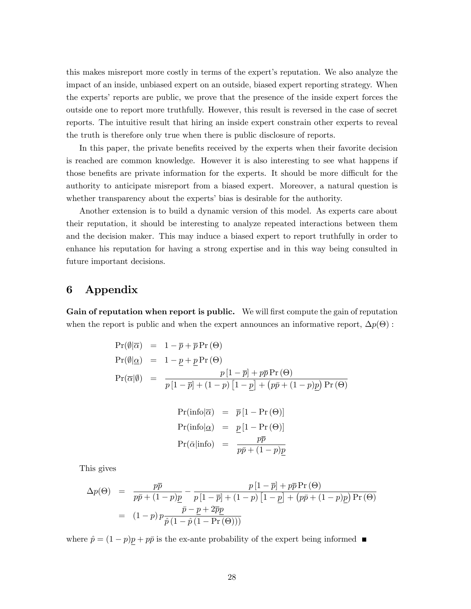this makes misreport more costly in terms of the expertís reputation. We also analyze the impact of an inside, unbiased expert on an outside, biased expert reporting strategy. When the expertsí reports are public, we prove that the presence of the inside expert forces the outside one to report more truthfully. However, this result is reversed in the case of secret reports. The intuitive result that hiring an inside expert constrain other experts to reveal the truth is therefore only true when there is public disclosure of reports.

In this paper, the private benefits received by the experts when their favorite decision is reached are common knowledge. However it is also interesting to see what happens if those benefits are private information for the experts. It should be more difficult for the authority to anticipate misreport from a biased expert. Moreover, a natural question is whether transparency about the experts' bias is desirable for the authority.

Another extension is to build a dynamic version of this model. As experts care about their reputation, it should be interesting to analyze repeated interactions between them and the decision maker. This may induce a biased expert to report truthfully in order to enhance his reputation for having a strong expertise and in this way being consulted in future important decisions.

# 6 Appendix

Gain of reputation when report is public. We will first compute the gain of reputation when the report is public and when the expert announces an informative report,  $\Delta p(\Theta)$ :

$$
Pr(\emptyset|\overline{\alpha}) = 1 - \overline{p} + \overline{p}Pr(\Theta)
$$
  
\n
$$
Pr(\emptyset|\underline{\alpha}) = 1 - \underline{p} + \underline{p}Pr(\Theta)
$$
  
\n
$$
Pr(\overline{\alpha}|\emptyset) = \frac{p[1 - \overline{p}] + p\overline{p}Pr(\Theta)}{p[1 - \overline{p}] + (1 - p)[1 - \underline{p}] + (p\overline{p} + (1 - p)\underline{p})Pr(\Theta)}
$$

$$
Pr(infol\overline{\alpha}) = \overline{p}[1 - Pr(\Theta)]
$$
  
\n
$$
Pr(infol\underline{\alpha}) = \underline{p}[1 - Pr(\Theta)]
$$
  
\n
$$
Pr(\overline{\alpha}|info) = \frac{p\overline{p}}{p\overline{p} + (1 - p)p}
$$

This gives

$$
\Delta p(\Theta) = \frac{p\overline{p}}{p\overline{p} + (1-p)\underline{p}} - \frac{p[1-\overline{p}] + p\overline{p} \Pr(\Theta)}{p[1-\overline{p}] + (1-p)\left[1-\underline{p}\right] + (p\overline{p} + (1-p)\underline{p}) \Pr(\Theta)}
$$

$$
= (1-p) p \frac{\overline{p} - \underline{p} + 2\overline{p}\underline{p}}{\hat{p}(1-\hat{p}(1-\Pr(\Theta)))}
$$

where  $\hat{p} = (1 - p)\underline{p} + p\bar{p}$  is the ex-ante probability of the expert being informed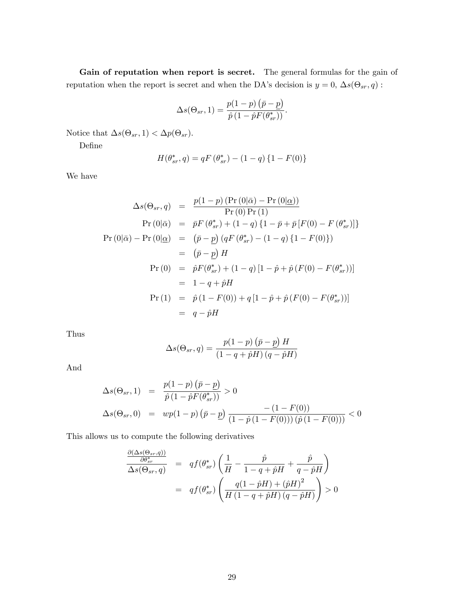Gain of reputation when report is secret. The general formulas for the gain of reputation when the report is secret and when the DA's decision is  $y = 0$ ,  $\Delta s(\Theta_{sr}, q)$ :

$$
\Delta s(\Theta_{sr}, 1) = \frac{p(1-p)\left(\bar{p}-\underline{p}\right)}{\hat{p}\left(1-\hat{p}F(\theta_{sr}^*)\right)}.
$$

Notice that  $\Delta s(\Theta_{sr}, 1) < \Delta p(\Theta_{sr}).$ 

DeÖne

$$
H(\theta_{sr}^*, q) = qF(\theta_{sr}^*) - (1 - q)\{1 - F(0)\}\
$$

We have

$$
\Delta s(\Theta_{sr}, q) = \frac{p(1-p) (Pr (0|\bar{\alpha}) - Pr (0|\underline{\alpha}))}{Pr (0) Pr (1)}
$$
  
\n
$$
Pr (0|\bar{\alpha}) = \bar{p}F (\theta_{sr}^*) + (1-q) \{1 - \bar{p} + \bar{p} [F(0) - F (\theta_{sr}^*)]\}
$$
  
\n
$$
Pr (0|\bar{\alpha}) - Pr (0|\underline{\alpha}) = (\bar{p} - \underline{p}) (qF (\theta_{sr}^*) - (1-q) \{1 - F(0)\})
$$
  
\n
$$
= (\bar{p} - \underline{p}) H
$$
  
\n
$$
Pr (0) = \hat{p}F(\theta_{sr}^*) + (1-q) [1 - \hat{p} + \hat{p} (F(0) - F (\theta_{sr}^*))]
$$
  
\n
$$
= 1 - q + \hat{p}H
$$
  
\n
$$
Pr (1) = \hat{p} (1 - F(0)) + q [1 - \hat{p} + \hat{p} (F(0) - F (\theta_{sr}^*))]
$$
  
\n
$$
= q - \hat{p}H
$$

Thus

$$
\Delta s(\Theta_{sr}, q) = \frac{p(1-p)\left(\bar{p} - \underline{p}\right)H}{\left(1 - q + \hat{p}H\right)\left(q - \hat{p}H\right)}
$$

And

$$
\Delta s(\Theta_{sr}, 1) = \frac{p(1-p)(\bar{p}-\underline{p})}{\hat{p}(1-\hat{p}F(\theta_{sr}^*))} > 0
$$
  

$$
\Delta s(\Theta_{sr}, 0) = wp(1-p)(\bar{p}-\underline{p}) \frac{-(1-F(0))}{(1-\hat{p}(1-F(0)))(\hat{p}(1-F(0)))} < 0
$$

This allows us to compute the following derivatives

$$
\frac{\frac{\partial(\Delta s(\Theta_{sr}, q))}{\partial \theta_{sr}^*}}{\Delta s(\Theta_{sr}, q)} = qf(\theta_{sr}^*) \left( \frac{1}{H} - \frac{\hat{p}}{1 - q + \hat{p}H} + \frac{\hat{p}}{q - \hat{p}H} \right)
$$

$$
= qf(\theta_{sr}^*) \left( \frac{q(1 - \hat{p}H) + (\hat{p}H)^2}{H(1 - q + \hat{p}H)(q - \hat{p}H)} \right) > 0
$$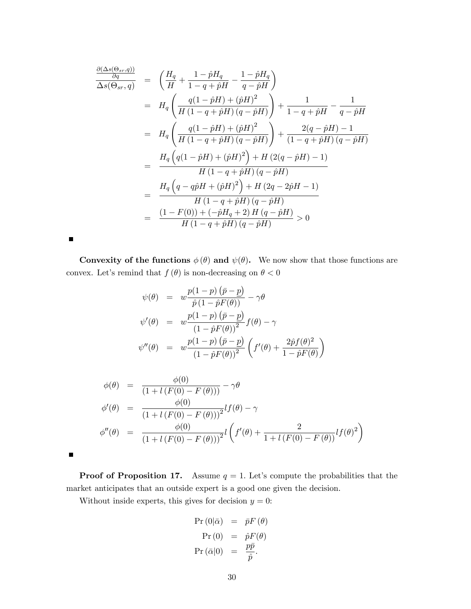$$
\frac{\frac{\partial(\Delta s(\Theta_{sr}, q))}{\partial q}}{\Delta s(\Theta_{sr}, q)} = \left(\frac{H_q}{H} + \frac{1 - \hat{p}H_q}{1 - q + \hat{p}H} - \frac{1 - \hat{p}H_q}{q - \hat{p}H}\right)
$$
\n
$$
= H_q \left(\frac{q(1 - \hat{p}H) + (\hat{p}H)^2}{H(1 - q + \hat{p}H)(q - \hat{p}H)}\right) + \frac{1}{1 - q + \hat{p}H} - \frac{1}{q - \hat{p}H}
$$
\n
$$
= H_q \left(\frac{q(1 - \hat{p}H) + (\hat{p}H)^2}{H(1 - q + \hat{p}H)(q - \hat{p}H)}\right) + \frac{2(q - \hat{p}H) - 1}{(1 - q + \hat{p}H)(q - \hat{p}H)}
$$
\n
$$
= \frac{H_q \left(q(1 - \hat{p}H) + (\hat{p}H)^2\right) + H(2(q - \hat{p}H) - 1)}{H(1 - q + \hat{p}H)(q - \hat{p}H)}
$$
\n
$$
= \frac{H_q \left(q - q\hat{p}H + (\hat{p}H)^2\right) + H(2q - 2\hat{p}H - 1)}{H(1 - q + \hat{p}H)(q - \hat{p}H)}
$$
\n
$$
= \frac{(1 - F(0)) + (-\hat{p}H_q + 2)H(q - \hat{p}H)}{H(1 - q + \hat{p}H)(q - \hat{p}H)} > 0
$$

Convexity of the functions  $\phi(\theta)$  and  $\psi(\theta)$ . We now show that those functions are convex. Let's remind that  $f(\theta)$  is non-decreasing on  $\theta < 0$ 

$$
\psi(\theta) = w \frac{p(1-p)(\bar{p}-p)}{\hat{p}(1-\hat{p}F(\theta))} - \gamma \theta
$$
  

$$
\psi'(\theta) = w \frac{p(1-p)(\bar{p}-p)}{(1-\hat{p}F(\theta))^2} f(\theta) - \gamma
$$
  

$$
\psi''(\theta) = w \frac{p(1-p)(\bar{p}-p)}{(1-\hat{p}F(\theta))^2} \left( f'(\theta) + \frac{2\hat{p}f(\theta)^2}{1-\hat{p}F(\theta)} \right)
$$

$$
\begin{array}{rcl}\n\phi(\theta) & = & \frac{\phi(0)}{(1 + l(F(0) - F(\theta)))} - \gamma \theta \\
\phi'(\theta) & = & \frac{\phi(0)}{(1 + l(F(0) - F(\theta)))^2} l(f(\theta) - \gamma \\
\phi''(\theta) & = & \frac{\phi(0)}{(1 + l(F(0) - F(\theta)))^2} l\left(f'(\theta) + \frac{2}{1 + l(F(0) - F(\theta))} l(f(\theta)^2\right)\n\end{array}
$$

**Proof of Proposition 17.** Assume  $q = 1$ . Let's compute the probabilities that the market anticipates that an outside expert is a good one given the decision.

Without inside experts, this gives for decision  $y = 0$ :

 $\blacksquare$ 

 $\blacksquare$ 

$$
\begin{array}{rcl} \Pr\left(0|\bar{\alpha}\right) & = & \bar{p}F\left(\theta\right) \\ \Pr\left(0\right) & = & \hat{p}F(\theta) \\ \Pr\left(\bar{\alpha}|0\right) & = & \frac{p\bar{p}}{\hat{p}}. \end{array}
$$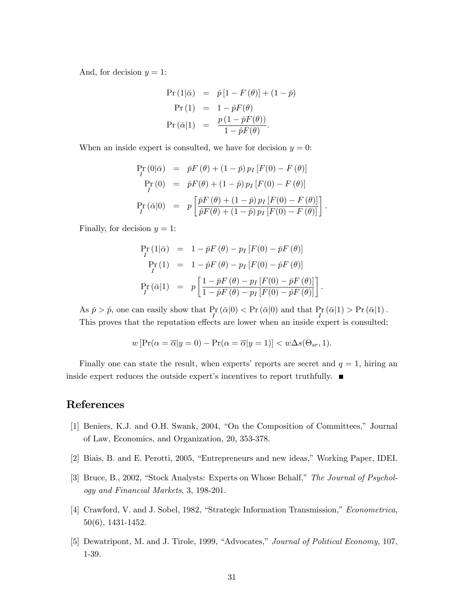And, for decision  $y = 1$ :

$$
Pr (1|\bar{\alpha}) = \bar{p} [1 - F(\theta)] + (1 - \bar{p})
$$
  
\n
$$
Pr (1) = 1 - \hat{p} F(\theta)
$$
  
\n
$$
Pr (\bar{\alpha}|1) = \frac{p (1 - \bar{p} F(\theta))}{1 - \hat{p} F(\theta)}.
$$

When an inside expert is consulted, we have for decision  $y = 0$ :

$$
\Pr_{I} (0|\bar{\alpha}) = \bar{p}F(\theta) + (1-\bar{p}) p_I [F(0) - F(\theta)] \n\Pr_{I} (0) = \hat{p}F(\theta) + (1-\hat{p}) p_I [F(0) - F(\theta)] \n\Pr_{I} (\bar{\alpha}|0) = p \left[ \frac{\bar{p}F(\theta) + (1-\bar{p}) p_I [F(0) - F(\theta)]}{\hat{p}F(\theta) + (1-\hat{p}) p_I [F(0) - F(\theta)]} \right].
$$

Finally, for decision  $y = 1$ :

$$
\Pr_{I} (1|\bar{\alpha}) = 1 - \bar{p}F(\theta) - p_I [F(0) - \bar{p}F(\theta)]
$$
  
\n
$$
\Pr_{I} (1) = 1 - \hat{p}F(\theta) - p_I [F(0) - \hat{p}F(\theta)]
$$
  
\n
$$
\Pr_{I} (\bar{\alpha}|1) = p \left[ \frac{1 - \bar{p}F(\theta) - p_I [F(0) - \bar{p}F(\theta)]}{1 - \hat{p}F(\theta) - p_I [F(0) - \hat{p}F(\theta)]} \right]
$$

As  $\bar{p} > \hat{p}$ , one can easily show that  $Pr_I(\bar{\alpha}|0) < Pr(\bar{\alpha}|0)$  and that  $Pr_I(\bar{\alpha}|1) > Pr(\bar{\alpha}|1)$ . This proves that the reputation effects are lower when an inside expert is consulted:

:

$$
w\left[\Pr(\alpha = \overline{\alpha}|y=0) - \Pr(\alpha = \overline{\alpha}|y=1)\right] < w\Delta s(\Theta_{sr}, 1).
$$

Finally one can state the result, when experts' reports are secret and  $q = 1$ , hiring an inside expert reduces the outside expert's incentives to report truthfully.  $\blacksquare$ 

# References

- [1] Beniers, K.J. and O.H. Swank, 2004, "On the Composition of Committees," Journal of Law, Economics, and Organization, 20, 353-378.
- [2] Biais, B. and E. Perotti, 2005, "Entrepreneurs and new ideas," Working Paper, IDEI.
- [3] Bruce, B., 2002, "Stock Analysts: Experts on Whose Behalf," The Journal of Psychology and Financial Markets, 3, 198-201.
- [4] Crawford, V. and J. Sobel, 1982, "Strategic Information Transmission," Econometrica, 50(6), 1431-1452.
- [5] Dewatripont, M. and J. Tirole, 1999, "Advocates," Journal of Political Economy, 107, 1-39.